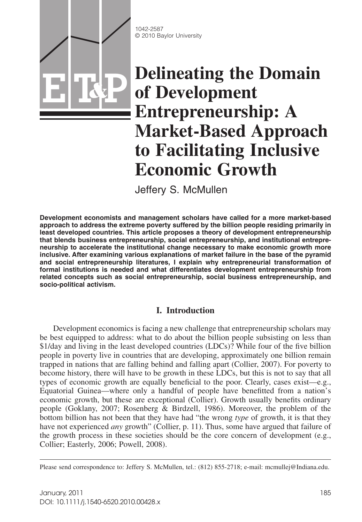1042-2587 © 2010 Baylor University

**E T&P**

# **Delineating the Domain of Development Entrepreneurship: A Market-Based Approach to Facilitating Inclusive Economic Growth**

Jeffery S. McMullen

**Development economists and management scholars have called for a more market-based approach to address the extreme poverty suffered by the billion people residing primarily in least developed countries. This article proposes a theory of development entrepreneurship that blends business entrepreneurship, social entrepreneurship, and institutional entrepreneurship to accelerate the institutional change necessary to make economic growth more inclusive. After examining various explanations of market failure in the base of the pyramid and social entrepreneurship literatures, I explain why entrepreneurial transformation of formal institutions is needed and what differentiates development entrepreneurship from related concepts such as social entrepreneurship, social business entrepreneurship, and socio-political activism.**

# **I. Introduction**

Development economics is facing a new challenge that entrepreneurship scholars may be best equipped to address: what to do about the billion people subsisting on less than \$1/day and living in the least developed countries (LDCs)? While four of the five billion people in poverty live in countries that are developing, approximately one billion remain trapped in nations that are falling behind and falling apart (Collier, 2007). For poverty to become history, there will have to be growth in these LDCs, but this is not to say that all types of economic growth are equally beneficial to the poor. Clearly, cases exist—e.g., Equatorial Guinea—where only a handful of people have benefitted from a nation's economic growth, but these are exceptional (Collier). Growth usually benefits ordinary people (Goklany, 2007; Rosenberg & Birdzell, 1986). Moreover, the problem of the bottom billion has not been that they have had "the wrong *type* of growth, it is that they have not experienced *any* growth" (Collier, p. 11). Thus, some have argued that failure of the growth process in these societies should be the core concern of development (e.g., Collier; Easterly, 2006; Powell, 2008).

Please send correspondence to: Jeffery S. McMullen, tel.: (812) 855-2718; e-mail: mcmullej@Indiana.edu.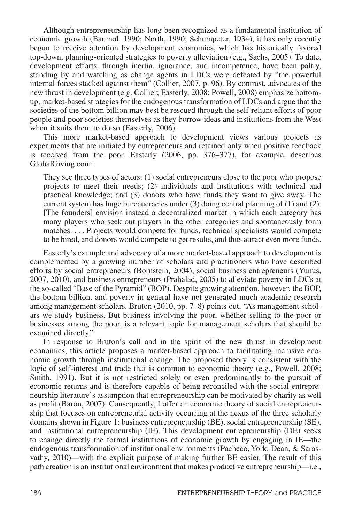Although entrepreneurship has long been recognized as a fundamental institution of economic growth (Baumol, 1990; North, 1990; Schumpeter, 1934), it has only recently begun to receive attention by development economics, which has historically favored top-down, planning-oriented strategies to poverty alleviation (e.g., Sachs, 2005). To date, development efforts, through inertia, ignorance, and incompetence, have been paltry, standing by and watching as change agents in LDCs were defeated by "the powerful internal forces stacked against them" (Collier, 2007, p. 96). By contrast, advocates of the new thrust in development (e.g. Collier; Easterly, 2008; Powell, 2008) emphasize bottomup, market-based strategies for the endogenous transformation of LDCs and argue that the societies of the bottom billion may best be rescued through the self-reliant efforts of poor people and poor societies themselves as they borrow ideas and institutions from the West when it suits them to do so (Easterly, 2006).

This more market-based approach to development views various projects as experiments that are initiated by entrepreneurs and retained only when positive feedback is received from the poor. Easterly (2006, pp. 376–377), for example, describes GlobalGiving.com:

They see three types of actors: (1) social entrepreneurs close to the poor who propose projects to meet their needs; (2) individuals and institutions with technical and practical knowledge; and (3) donors who have funds they want to give away. The current system has huge bureaucracies under (3) doing central planning of (1) and (2). [The founders] envision instead a decentralized market in which each category has many players who seek out players in the other categories and spontaneously form matches.... Projects would compete for funds, technical specialists would compete to be hired, and donors would compete to get results, and thus attract even more funds.

Easterly's example and advocacy of a more market-based approach to development is complemented by a growing number of scholars and practitioners who have described efforts by social entrepreneurs (Bornstein, 2004), social business entrepreneurs (Yunus, 2007, 2010), and business entrepreneurs (Prahalad, 2005) to alleviate poverty in LDCs at the so-called "Base of the Pyramid" (BOP). Despite growing attention, however, the BOP, the bottom billion, and poverty in general have not generated much academic research among management scholars. Bruton (2010, pp. 7–8) points out, "As management scholars we study business. But business involving the poor, whether selling to the poor or businesses among the poor, is a relevant topic for management scholars that should be examined directly."

In response to Bruton's call and in the spirit of the new thrust in development economics, this article proposes a market-based approach to facilitating inclusive economic growth through institutional change. The proposed theory is consistent with the logic of self-interest and trade that is common to economic theory (e.g., Powell, 2008; Smith, 1991). But it is not restricted solely or even predominantly to the pursuit of economic returns and is therefore capable of being reconciled with the social entrepreneurship literature's assumption that entrepreneurship can be motivated by charity as well as profit (Baron, 2007). Consequently, I offer an economic theory of social entrepreneurship that focuses on entrepreneurial activity occurring at the nexus of the three scholarly domains shown in Figure 1: business entrepreneurship (BE), social entrepreneurship (SE), and institutional entrepreneurship (IE). This development entrepreneurship (DE) seeks to change directly the formal institutions of economic growth by engaging in IE—the endogenous transformation of institutional environments (Pacheco, York, Dean, & Sarasvathy, 2010)—with the explicit purpose of making further BE easier. The result of this path creation is an institutional environment that makes productive entrepreneurship—i.e.,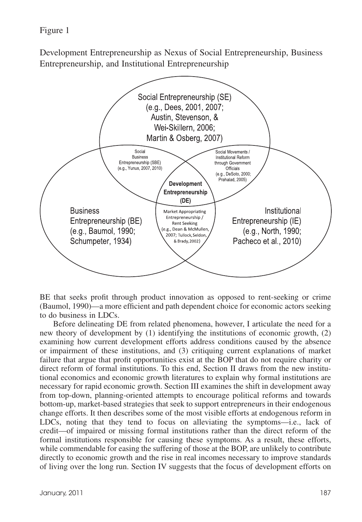Figure 1

Development Entrepreneurship as Nexus of Social Entrepreneurship, Business Entrepreneurship, and Institutional Entrepreneurship



BE that seeks profit through product innovation as opposed to rent-seeking or crime (Baumol, 1990)—a more efficient and path dependent choice for economic actors seeking to do business in LDCs.

Before delineating DE from related phenomena, however, I articulate the need for a new theory of development by (1) identifying the institutions of economic growth, (2) examining how current development efforts address conditions caused by the absence or impairment of these institutions, and (3) critiquing current explanations of market failure that argue that profit opportunities exist at the BOP that do not require charity or direct reform of formal institutions. To this end, Section II draws from the new institutional economics and economic growth literatures to explain why formal institutions are necessary for rapid economic growth. Section III examines the shift in development away from top-down, planning-oriented attempts to encourage political reforms and towards bottom-up, market-based strategies that seek to support entrepreneurs in their endogenous change efforts. It then describes some of the most visible efforts at endogenous reform in LDCs, noting that they tend to focus on alleviating the symptoms—i.e., lack of credit—of impaired or missing formal institutions rather than the direct reform of the formal institutions responsible for causing these symptoms. As a result, these efforts, while commendable for easing the suffering of those at the BOP, are unlikely to contribute directly to economic growth and the rise in real incomes necessary to improve standards of living over the long run. Section IV suggests that the focus of development efforts on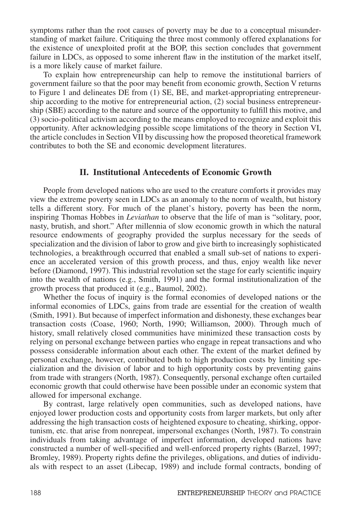symptoms rather than the root causes of poverty may be due to a conceptual misunderstanding of market failure. Critiquing the three most commonly offered explanations for the existence of unexploited profit at the BOP, this section concludes that government failure in LDCs, as opposed to some inherent flaw in the institution of the market itself, is a more likely cause of market failure.

To explain how entrepreneurship can help to remove the institutional barriers of government failure so that the poor may benefit from economic growth, Section V returns to Figure 1 and delineates DE from (1) SE, BE, and market-appropriating entrepreneurship according to the motive for entrepreneurial action, (2) social business entrepreneurship (SBE) according to the nature and source of the opportunity to fulfill this motive, and (3) socio-political activism according to the means employed to recognize and exploit this opportunity. After acknowledging possible scope limitations of the theory in Section VI, the article concludes in Section VII by discussing how the proposed theoretical framework contributes to both the SE and economic development literatures.

## **II. Institutional Antecedents of Economic Growth**

People from developed nations who are used to the creature comforts it provides may view the extreme poverty seen in LDCs as an anomaly to the norm of wealth, but history tells a different story. For much of the planet's history, poverty has been the norm, inspiring Thomas Hobbes in *Leviathan* to observe that the life of man is "solitary, poor, nasty, brutish, and short." After millennia of slow economic growth in which the natural resource endowments of geography provided the surplus necessary for the seeds of specialization and the division of labor to grow and give birth to increasingly sophisticated technologies, a breakthrough occurred that enabled a small sub-set of nations to experience an accelerated version of this growth process, and thus, enjoy wealth like never before (Diamond, 1997). This industrial revolution set the stage for early scientific inquiry into the wealth of nations (e.g., Smith, 1991) and the formal institutionalization of the growth process that produced it (e.g., Baumol, 2002).

Whether the focus of inquiry is the formal economies of developed nations or the informal economies of LDCs, gains from trade are essential for the creation of wealth (Smith, 1991). But because of imperfect information and dishonesty, these exchanges bear transaction costs (Coase, 1960; North, 1990; Williamson, 2000). Through much of history, small relatively closed communities have minimized these transaction costs by relying on personal exchange between parties who engage in repeat transactions and who possess considerable information about each other. The extent of the market defined by personal exchange, however, contributed both to high production costs by limiting specialization and the division of labor and to high opportunity costs by preventing gains from trade with strangers (North, 1987). Consequently, personal exchange often curtailed economic growth that could otherwise have been possible under an economic system that allowed for impersonal exchange.

By contrast, large relatively open communities, such as developed nations, have enjoyed lower production costs and opportunity costs from larger markets, but only after addressing the high transaction costs of heightened exposure to cheating, shirking, opportunism, etc. that arise from nonrepeat, impersonal exchanges (North, 1987). To constrain individuals from taking advantage of imperfect information, developed nations have constructed a number of well-specified and well-enforced property rights (Barzel, 1997; Bromley, 1989). Property rights define the privileges, obligations, and duties of individuals with respect to an asset (Libecap, 1989) and include formal contracts, bonding of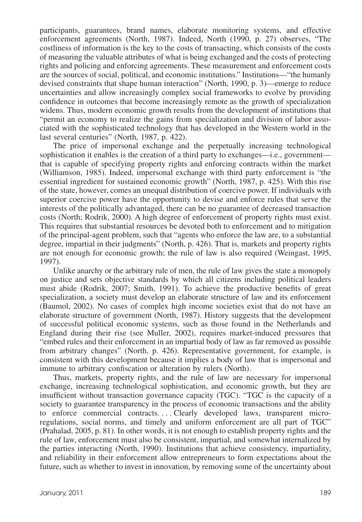participants, guarantees, brand names, elaborate monitoring systems, and effective enforcement agreements (North, 1987). Indeed, North (1990, p. 27) observes, "The costliness of information is the key to the costs of transacting, which consists of the costs of measuring the valuable attributes of what is being exchanged and the costs of protecting rights and policing and enforcing agreements. These measurement and enforcement costs are the sources of social, political, and economic institutions." Institutions—"the humanly devised constraints that shape human interaction" (North, 1990, p. 3)—emerge to reduce uncertainties and allow increasingly complex social frameworks to evolve by providing confidence in outcomes that become increasingly remote as the growth of specialization widens. Thus, modern economic growth results from the development of institutions that "permit an economy to realize the gains from specialization and division of labor associated with the sophisticated technology that has developed in the Western world in the last several centuries" (North, 1987, p. 422).

The price of impersonal exchange and the perpetually increasing technological sophistication it enables is the creation of a third party to exchanges—i.e., government that is capable of specifying property rights and enforcing contracts within the market (Williamson, 1985). Indeed, impersonal exchange with third party enforcement is "the essential ingredient for sustained economic growth" (North, 1987, p. 425). With this rise of the state, however, comes an unequal distribution of coercive power. If individuals with superior coercive power have the opportunity to devise and enforce rules that serve the interests of the politically advantaged, there can be no guarantee of decreased transaction costs (North; Rodrik, 2000). A high degree of enforcement of property rights must exist. This requires that substantial resources be devoted both to enforcement and to mitigation of the principal-agent problem, such that "agents who enforce the law are, to a substantial degree, impartial in their judgments" (North, p. 426). That is, markets and property rights are not enough for economic growth; the rule of law is also required (Weingast, 1995, 1997).

Unlike anarchy or the arbitrary rule of men, the rule of law gives the state a monopoly on justice and sets objective standards by which all citizens including political leaders must abide (Rodrik, 2007; Smith, 1991). To achieve the productive benefits of great specialization, a society must develop an elaborate structure of law and its enforcement (Baumol, 2002). No cases of complex high income societies exist that do not have an elaborate structure of government (North, 1987). History suggests that the development of successful political economic systems, such as those found in the Netherlands and England during their rise (see Muller, 2002), requires market-induced pressures that "embed rules and their enforcement in an impartial body of law as far removed as possible from arbitrary changes" (North, p. 426). Representative government, for example, is consistent with this development because it implies a body of law that is impersonal and immune to arbitrary confiscation or alteration by rulers (North).

Thus, markets, property rights, and the rule of law are necessary for impersonal exchange, increasing technological sophistication, and economic growth, but they are insufficient without transaction governance capacity (TGC). "TGC is the capacity of a society to guarantee transparency in the process of economic transactions and the ability to enforce commercial contracts.... Clearly developed laws, transparent microregulations, social norms, and timely and uniform enforcement are all part of TGC" (Prahalad, 2005, p. 81). In other words, it is not enough to establish property rights and the rule of law, enforcement must also be consistent, impartial, and somewhat internalized by the parties interacting (North, 1990). Institutions that achieve consistency, impartiality, and reliability in their enforcement allow entrepreneurs to form expectations about the future, such as whether to invest in innovation, by removing some of the uncertainty about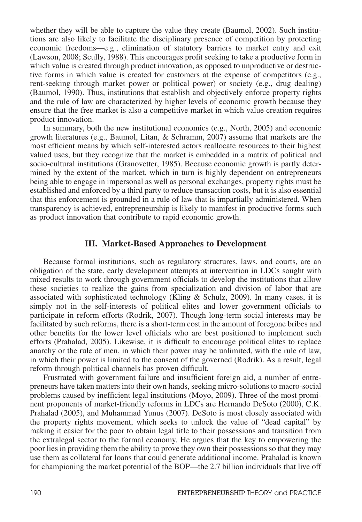whether they will be able to capture the value they create (Baumol, 2002). Such institutions are also likely to facilitate the disciplinary presence of competition by protecting economic freedoms—e.g., elimination of statutory barriers to market entry and exit (Lawson, 2008; Scully, 1988). This encourages profit seeking to take a productive form in which value is created through product innovation, as opposed to unproductive or destructive forms in which value is created for customers at the expense of competitors (e.g., rent-seeking through market power or political power) or society (e.g., drug dealing) (Baumol, 1990). Thus, institutions that establish and objectively enforce property rights and the rule of law are characterized by higher levels of economic growth because they ensure that the free market is also a competitive market in which value creation requires product innovation.

In summary, both the new institutional economics (e.g., North, 2005) and economic growth literatures (e.g., Baumol, Litan, & Schramm, 2007) assume that markets are the most efficient means by which self-interested actors reallocate resources to their highest valued uses, but they recognize that the market is embedded in a matrix of political and socio-cultural institutions (Granovetter, 1985). Because economic growth is partly determined by the extent of the market, which in turn is highly dependent on entrepreneurs being able to engage in impersonal as well as personal exchanges, property rights must be established and enforced by a third party to reduce transaction costs, but it is also essential that this enforcement is grounded in a rule of law that is impartially administered. When transparency is achieved, entrepreneurship is likely to manifest in productive forms such as product innovation that contribute to rapid economic growth.

#### **III. Market-Based Approaches to Development**

Because formal institutions, such as regulatory structures, laws, and courts, are an obligation of the state, early development attempts at intervention in LDCs sought with mixed results to work through government officials to develop the institutions that allow these societies to realize the gains from specialization and division of labor that are associated with sophisticated technology (Kling  $\&$  Schulz, 2009). In many cases, it is simply not in the self-interests of political elites and lower government officials to participate in reform efforts (Rodrik, 2007). Though long-term social interests may be facilitated by such reforms, there is a short-term cost in the amount of foregone bribes and other benefits for the lower level officials who are best positioned to implement such efforts (Prahalad, 2005). Likewise, it is difficult to encourage political elites to replace anarchy or the rule of men, in which their power may be unlimited, with the rule of law, in which their power is limited to the consent of the governed (Rodrik). As a result, legal reform through political channels has proven difficult.

Frustrated with government failure and insufficient foreign aid, a number of entrepreneurs have taken matters into their own hands, seeking micro-solutions to macro-social problems caused by inefficient legal institutions (Moyo, 2009). Three of the most prominent proponents of market-friendly reforms in LDCs are Hernando DeSoto (2000), C.K. Prahalad (2005), and Muhammad Yunus (2007). DeSoto is most closely associated with the property rights movement, which seeks to unlock the value of "dead capital" by making it easier for the poor to obtain legal title to their possessions and transition from the extralegal sector to the formal economy. He argues that the key to empowering the poor lies in providing them the ability to prove they own their possessions so that they may use them as collateral for loans that could generate additional income. Prahalad is known for championing the market potential of the BOP—the 2.7 billion individuals that live off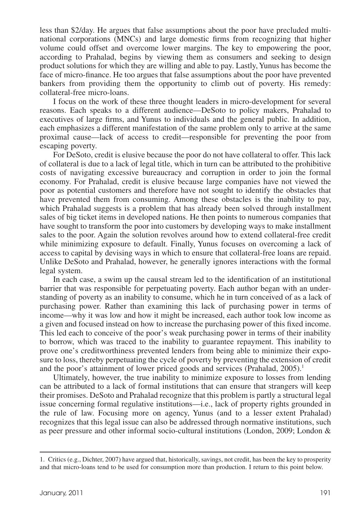less than \$2/day. He argues that false assumptions about the poor have precluded multinational corporations (MNCs) and large domestic firms from recognizing that higher volume could offset and overcome lower margins. The key to empowering the poor, according to Prahalad, begins by viewing them as consumers and seeking to design product solutions for which they are willing and able to pay. Lastly, Yunus has become the face of micro-finance. He too argues that false assumptions about the poor have prevented bankers from providing them the opportunity to climb out of poverty. His remedy: collateral-free micro-loans.

I focus on the work of these three thought leaders in micro-development for several reasons. Each speaks to a different audience—DeSoto to policy makers, Prahalad to executives of large firms, and Yunus to individuals and the general public. In addition, each emphasizes a different manifestation of the same problem only to arrive at the same proximal cause—lack of access to credit—responsible for preventing the poor from escaping poverty.

For DeSoto, credit is elusive because the poor do not have collateral to offer. This lack of collateral is due to a lack of legal title, which in turn can be attributed to the prohibitive costs of navigating excessive bureaucracy and corruption in order to join the formal economy. For Prahalad, credit is elusive because large companies have not viewed the poor as potential customers and therefore have not sought to identify the obstacles that have prevented them from consuming. Among these obstacles is the inability to pay, which Prahalad suggests is a problem that has already been solved through installment sales of big ticket items in developed nations. He then points to numerous companies that have sought to transform the poor into customers by developing ways to make installment sales to the poor. Again the solution revolves around how to extend collateral-free credit while minimizing exposure to default. Finally, Yunus focuses on overcoming a lack of access to capital by devising ways in which to ensure that collateral-free loans are repaid. Unlike DeSoto and Prahalad, however, he generally ignores interactions with the formal legal system.

In each case, a swim up the causal stream led to the identification of an institutional barrier that was responsible for perpetuating poverty. Each author began with an understanding of poverty as an inability to consume, which he in turn conceived of as a lack of purchasing power. Rather than examining this lack of purchasing power in terms of income—why it was low and how it might be increased, each author took low income as a given and focused instead on how to increase the purchasing power of this fixed income. This led each to conceive of the poor's weak purchasing power in terms of their inability to borrow, which was traced to the inability to guarantee repayment. This inability to prove one's creditworthiness prevented lenders from being able to minimize their exposure to loss, thereby perpetuating the cycle of poverty by preventing the extension of credit and the poor's attainment of lower priced goods and services (Prahalad,  $2005$ ).<sup>1</sup>

Ultimately, however, the true inability to minimize exposure to losses from lending can be attributed to a lack of formal institutions that can ensure that strangers will keep their promises. DeSoto and Prahalad recognize that this problem is partly a structural legal issue concerning formal regulative institutions—i.e., lack of property rights grounded in the rule of law. Focusing more on agency, Yunus (and to a lesser extent Prahalad) recognizes that this legal issue can also be addressed through normative institutions, such as peer pressure and other informal socio-cultural institutions (London, 2009; London &

<sup>1.</sup> Critics (e.g., Dichter, 2007) have argued that, historically, savings, not credit, has been the key to prosperity and that micro-loans tend to be used for consumption more than production. I return to this point below.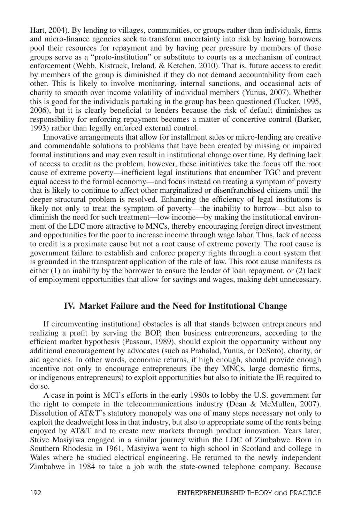Hart, 2004). By lending to villages, communities, or groups rather than individuals, firms and micro-finance agencies seek to transform uncertainty into risk by having borrowers pool their resources for repayment and by having peer pressure by members of those groups serve as a "proto-institution" or substitute to courts as a mechanism of contract enforcement (Webb, Kistruck, Ireland, & Ketchen, 2010). That is, future access to credit by members of the group is diminished if they do not demand accountability from each other. This is likely to involve monitoring, internal sanctions, and occasional acts of charity to smooth over income volatility of individual members (Yunus, 2007). Whether this is good for the individuals partaking in the group has been questioned (Tucker, 1995, 2006), but it is clearly beneficial to lenders because the risk of default diminishes as responsibility for enforcing repayment becomes a matter of concertive control (Barker, 1993) rather than legally enforced external control.

Innovative arrangements that allow for installment sales or micro-lending are creative and commendable solutions to problems that have been created by missing or impaired formal institutions and may even result in institutional change over time. By defining lack of access to credit as the problem, however, these initiatives take the focus off the root cause of extreme poverty—inefficient legal institutions that encumber TGC and prevent equal access to the formal economy—and focus instead on treating a symptom of poverty that is likely to continue to affect other marginalized or disenfranchised citizens until the deeper structural problem is resolved. Enhancing the efficiency of legal institutions is likely not only to treat the symptom of poverty—the inability to borrow—but also to diminish the need for such treatment—low income—by making the institutional environment of the LDC more attractive to MNCs, thereby encouraging foreign direct investment and opportunities for the poor to increase income through wage labor. Thus, lack of access to credit is a proximate cause but not a root cause of extreme poverty. The root cause is government failure to establish and enforce property rights through a court system that is grounded in the transparent application of the rule of law. This root cause manifests as either (1) an inability by the borrower to ensure the lender of loan repayment, or (2) lack of employment opportunities that allow for savings and wages, making debt unnecessary.

## **IV. Market Failure and the Need for Institutional Change**

If circumventing institutional obstacles is all that stands between entrepreneurs and realizing a profit by serving the BOP, then business entrepreneurs, according to the efficient market hypothesis (Passour, 1989), should exploit the opportunity without any additional encouragement by advocates (such as Prahalad, Yunus, or DeSoto), charity, or aid agencies. In other words, economic returns, if high enough, should provide enough incentive not only to encourage entrepreneurs (be they MNCs, large domestic firms, or indigenous entrepreneurs) to exploit opportunities but also to initiate the IE required to do so.

A case in point is MCI's efforts in the early 1980s to lobby the U.S. government for the right to compete in the telecommunications industry (Dean  $&$  McMullen, 2007). Dissolution of AT&T's statutory monopoly was one of many steps necessary not only to exploit the deadweight loss in that industry, but also to appropriate some of the rents being enjoyed by AT&T and to create new markets through product innovation. Years later, Strive Masiyiwa engaged in a similar journey within the LDC of Zimbabwe. Born in Southern Rhodesia in 1961, Masiyiwa went to high school in Scotland and college in Wales where he studied electrical engineering. He returned to the newly independent Zimbabwe in 1984 to take a job with the state-owned telephone company. Because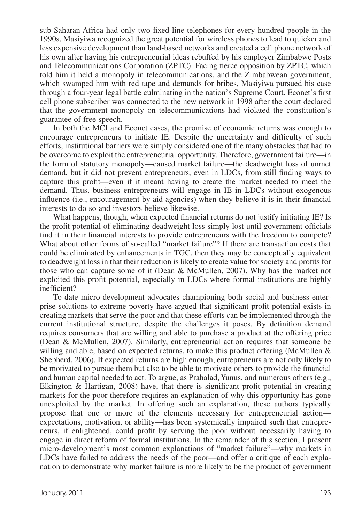sub-Saharan Africa had only two fixed-line telephones for every hundred people in the 1990s, Masiyiwa recognized the great potential for wireless phones to lead to quicker and less expensive development than land-based networks and created a cell phone network of his own after having his entrepreneurial ideas rebuffed by his employer Zimbabwe Posts and Telecommunications Corporation (ZPTC). Facing fierce opposition by ZPTC, which told him it held a monopoly in telecommunications, and the Zimbabwean government, which swamped him with red tape and demands for bribes, Masiyiwa pursued his case through a four-year legal battle culminating in the nation's Supreme Court. Econet's first cell phone subscriber was connected to the new network in 1998 after the court declared that the government monopoly on telecommunications had violated the constitution's guarantee of free speech.

In both the MCI and Econet cases, the promise of economic returns was enough to encourage entrepreneurs to initiate IE. Despite the uncertainty and difficulty of such efforts, institutional barriers were simply considered one of the many obstacles that had to be overcome to exploit the entrepreneurial opportunity. Therefore, government failure—in the form of statutory monopoly—caused market failure—the deadweight loss of unmet demand, but it did not prevent entrepreneurs, even in LDCs, from still finding ways to capture this profit—even if it meant having to create the market needed to meet the demand. Thus, business entrepreneurs will engage in IE in LDCs without exogenous influence (i.e., encouragement by aid agencies) when they believe it is in their financial interests to do so and investors believe likewise.

What happens, though, when expected financial returns do not justify initiating IE? Is the profit potential of eliminating deadweight loss simply lost until government officials find it in their financial interests to provide entrepreneurs with the freedom to compete? What about other forms of so-called "market failure"? If there are transaction costs that could be eliminated by enhancements in TGC, then they may be conceptually equivalent to deadweight loss in that their reduction is likely to create value for society and profits for those who can capture some of it (Dean & McMullen, 2007). Why has the market not exploited this profit potential, especially in LDCs where formal institutions are highly inefficient?

To date micro-development advocates championing both social and business enterprise solutions to extreme poverty have argued that significant profit potential exists in creating markets that serve the poor and that these efforts can be implemented through the current institutional structure, despite the challenges it poses. By definition demand requires consumers that are willing and able to purchase a product at the offering price (Dean & McMullen, 2007). Similarly, entrepreneurial action requires that someone be willing and able, based on expected returns, to make this product offering (McMullen  $\&$ Shepherd, 2006). If expected returns are high enough, entrepreneurs are not only likely to be motivated to pursue them but also to be able to motivate others to provide the financial and human capital needed to act. To argue, as Prahalad, Yunus, and numerous others (e.g., Elkington & Hartigan, 2008) have, that there is significant profit potential in creating markets for the poor therefore requires an explanation of why this opportunity has gone unexploited by the market. In offering such an explanation, these authors typically propose that one or more of the elements necessary for entrepreneurial action expectations, motivation, or ability—has been systemically impaired such that entrepreneurs, if enlightened, could profit by serving the poor without necessarily having to engage in direct reform of formal institutions. In the remainder of this section, I present micro-development's most common explanations of "market failure"—why markets in LDCs have failed to address the needs of the poor—and offer a critique of each explanation to demonstrate why market failure is more likely to be the product of government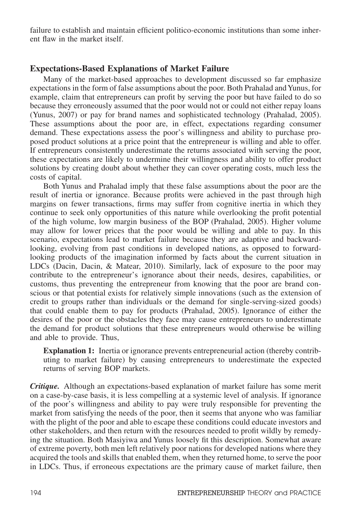failure to establish and maintain efficient politico-economic institutions than some inherent flaw in the market itself.

## **Expectations-Based Explanations of Market Failure**

Many of the market-based approaches to development discussed so far emphasize expectations in the form of false assumptions about the poor. Both Prahalad and Yunus, for example, claim that entrepreneurs can profit by serving the poor but have failed to do so because they erroneously assumed that the poor would not or could not either repay loans (Yunus, 2007) or pay for brand names and sophisticated technology (Prahalad, 2005). These assumptions about the poor are, in effect, expectations regarding consumer demand. These expectations assess the poor's willingness and ability to purchase proposed product solutions at a price point that the entrepreneur is willing and able to offer. If entrepreneurs consistently underestimate the returns associated with serving the poor, these expectations are likely to undermine their willingness and ability to offer product solutions by creating doubt about whether they can cover operating costs, much less the costs of capital.

Both Yunus and Prahalad imply that these false assumptions about the poor are the result of inertia or ignorance. Because profits were achieved in the past through high margins on fewer transactions, firms may suffer from cognitive inertia in which they continue to seek only opportunities of this nature while overlooking the profit potential of the high volume, low margin business of the BOP (Prahalad, 2005). Higher volume may allow for lower prices that the poor would be willing and able to pay. In this scenario, expectations lead to market failure because they are adaptive and backwardlooking, evolving from past conditions in developed nations, as opposed to forwardlooking products of the imagination informed by facts about the current situation in LDCs (Dacin, Dacin, & Matear, 2010). Similarly, lack of exposure to the poor may contribute to the entrepreneur's ignorance about their needs, desires, capabilities, or customs, thus preventing the entrepreneur from knowing that the poor are brand conscious or that potential exists for relatively simple innovations (such as the extension of credit to groups rather than individuals or the demand for single-serving-sized goods) that could enable them to pay for products (Prahalad, 2005). Ignorance of either the desires of the poor or the obstacles they face may cause entrepreneurs to underestimate the demand for product solutions that these entrepreneurs would otherwise be willing and able to provide. Thus,

**Explanation 1:** Inertia or ignorance prevents entrepreneurial action (thereby contributing to market failure) by causing entrepreneurs to underestimate the expected returns of serving BOP markets.

*Critique.* Although an expectations-based explanation of market failure has some merit on a case-by-case basis, it is less compelling at a systemic level of analysis. If ignorance of the poor's willingness and ability to pay were truly responsible for preventing the market from satisfying the needs of the poor, then it seems that anyone who was familiar with the plight of the poor and able to escape these conditions could educate investors and other stakeholders, and then return with the resources needed to profit wildly by remedying the situation. Both Masiyiwa and Yunus loosely fit this description. Somewhat aware of extreme poverty, both men left relatively poor nations for developed nations where they acquired the tools and skills that enabled them, when they returned home, to serve the poor in LDCs. Thus, if erroneous expectations are the primary cause of market failure, then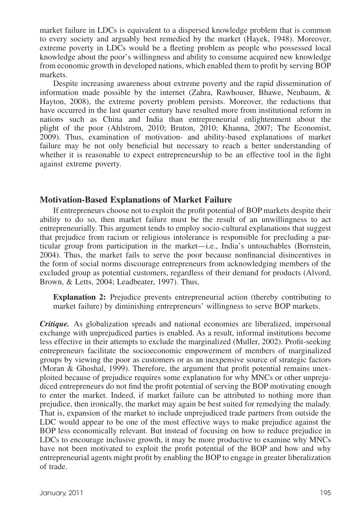market failure in LDCs is equivalent to a dispersed knowledge problem that is common to every society and arguably best remedied by the market (Hayek, 1948). Moreover, extreme poverty in LDCs would be a fleeting problem as people who possessed local knowledge about the poor's willingness and ability to consume acquired new knowledge from economic growth in developed nations, which enabled them to profit by serving BOP markets.

Despite increasing awareness about extreme poverty and the rapid dissemination of information made possible by the internet (Zahra, Rawhouser, Bhawe, Neubaum, & Hayton, 2008), the extreme poverty problem persists. Moreover, the reductions that have occurred in the last quarter century have resulted more from institutional reform in nations such as China and India than entrepreneurial enlightenment about the plight of the poor (Ahlstrom, 2010; Bruton, 2010; Khanna, 2007; The Economist, 2009). Thus, examination of motivation- and ability-based explanations of market failure may be not only beneficial but necessary to reach a better understanding of whether it is reasonable to expect entrepreneurship to be an effective tool in the fight against extreme poverty.

### **Motivation-Based Explanations of Market Failure**

If entrepreneurs choose not to exploit the profit potential of BOP markets despite their ability to do so, then market failure must be the result of an unwillingness to act entrepreneurially. This argument tends to employ socio-cultural explanations that suggest that prejudice from racism or religious intolerance is responsible for precluding a particular group from participation in the market—i.e., India's untouchables (Bornstein, 2004). Thus, the market fails to serve the poor because nonfinancial disincentives in the form of social norms discourage entrepreneurs from acknowledging members of the excluded group as potential customers, regardless of their demand for products (Alvord, Brown, & Letts, 2004; Leadbeater, 1997). Thus,

**Explanation 2:** Prejudice prevents entrepreneurial action (thereby contributing to market failure) by diminishing entrepreneurs' willingness to serve BOP markets.

*Critique.* As globalization spreads and national economies are liberalized, impersonal exchange with unprejudiced parties is enabled. As a result, informal institutions become less effective in their attempts to exclude the marginalized (Muller, 2002). Profit-seeking entrepreneurs facilitate the socioeconomic empowerment of members of marginalized groups by viewing the poor as customers or as an inexpensive source of strategic factors (Moran & Ghoshal, 1999). Therefore, the argument that profit potential remains unexploited because of prejudice requires some explanation for why MNCs or other unprejudiced entrepreneurs do not find the profit potential of serving the BOP motivating enough to enter the market. Indeed, if market failure can be attributed to nothing more than prejudice, then ironically, the market may again be best suited for remedying the malady. That is, expansion of the market to include unprejudiced trade partners from outside the LDC would appear to be one of the most effective ways to make prejudice against the BOP less economically relevant. But instead of focusing on how to reduce prejudice in LDCs to encourage inclusive growth, it may be more productive to examine why MNCs have not been motivated to exploit the profit potential of the BOP and how and why entrepreneurial agents might profit by enabling the BOP to engage in greater liberalization of trade.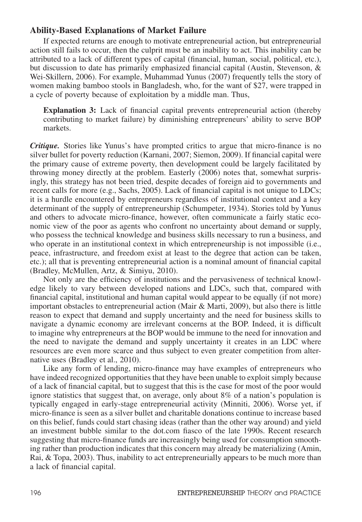# **Ability-Based Explanations of Market Failure**

If expected returns are enough to motivate entrepreneurial action, but entrepreneurial action still fails to occur, then the culprit must be an inability to act. This inability can be attributed to a lack of different types of capital (financial, human, social, political, etc.), but discussion to date has primarily emphasized financial capital (Austin, Stevenson, & Wei-Skillern, 2006). For example, Muhammad Yunus (2007) frequently tells the story of women making bamboo stools in Bangladesh, who, for the want of \$27, were trapped in a cycle of poverty because of exploitation by a middle man. Thus,

**Explanation 3:** Lack of financial capital prevents entrepreneurial action (thereby contributing to market failure) by diminishing entrepreneurs' ability to serve BOP markets.

*Critique.* Stories like Yunus's have prompted critics to argue that micro-finance is no silver bullet for poverty reduction (Karnani, 2007; Siemon, 2009). If financial capital were the primary cause of extreme poverty, then development could be largely facilitated by throwing money directly at the problem. Easterly (2006) notes that, somewhat surprisingly, this strategy has not been tried, despite decades of foreign aid to governments and recent calls for more (e.g., Sachs, 2005). Lack of financial capital is not unique to LDCs; it is a hurdle encountered by entrepreneurs regardless of institutional context and a key determinant of the supply of entrepreneurship (Schumpeter, 1934). Stories told by Yunus and others to advocate micro-finance, however, often communicate a fairly static economic view of the poor as agents who confront no uncertainty about demand or supply, who possess the technical knowledge and business skills necessary to run a business, and who operate in an institutional context in which entrepreneurship is not impossible (i.e., peace, infrastructure, and freedom exist at least to the degree that action can be taken, etc.); all that is preventing entrepreneurial action is a nominal amount of financial capital (Bradley, McMullen, Artz, & Simiyu, 2010).

Not only are the efficiency of institutions and the pervasiveness of technical knowledge likely to vary between developed nations and LDCs, such that, compared with financial capital, institutional and human capital would appear to be equally (if not more) important obstacles to entrepreneurial action (Mair & Marti, 2009), but also there is little reason to expect that demand and supply uncertainty and the need for business skills to navigate a dynamic economy are irrelevant concerns at the BOP. Indeed, it is difficult to imagine why entrepreneurs at the BOP would be immune to the need for innovation and the need to navigate the demand and supply uncertainty it creates in an LDC where resources are even more scarce and thus subject to even greater competition from alternative uses (Bradley et al., 2010).

Like any form of lending, micro-finance may have examples of entrepreneurs who have indeed recognized opportunities that they have been unable to exploit simply because of a lack of financial capital, but to suggest that this is the case for most of the poor would ignore statistics that suggest that, on average, only about 8% of a nation's population is typically engaged in early-stage entrepreneurial activity (Minniti, 2006). Worse yet, if micro-finance is seen as a silver bullet and charitable donations continue to increase based on this belief, funds could start chasing ideas (rather than the other way around) and yield an investment bubble similar to the dot.com fiasco of the late 1990s. Recent research suggesting that micro-finance funds are increasingly being used for consumption smoothing rather than production indicates that this concern may already be materializing (Amin, Rai, & Topa, 2003). Thus, inability to act entrepreneurially appears to be much more than a lack of financial capital.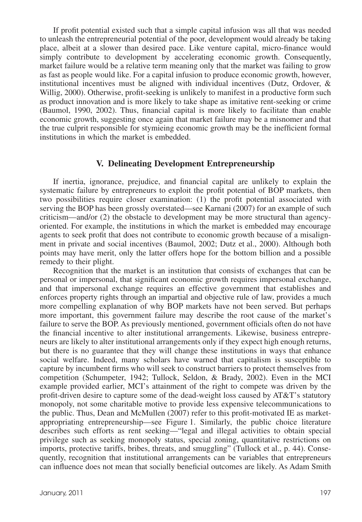If profit potential existed such that a simple capital infusion was all that was needed to unleash the entrepreneurial potential of the poor, development would already be taking place, albeit at a slower than desired pace. Like venture capital, micro-finance would simply contribute to development by accelerating economic growth. Consequently, market failure would be a relative term meaning only that the market was failing to grow as fast as people would like. For a capital infusion to produce economic growth, however, institutional incentives must be aligned with individual incentives (Dutz, Ordover, & Willig, 2000). Otherwise, profit-seeking is unlikely to manifest in a productive form such as product innovation and is more likely to take shape as imitative rent-seeking or crime (Baumol, 1990, 2002). Thus, financial capital is more likely to facilitate than enable economic growth, suggesting once again that market failure may be a misnomer and that the true culprit responsible for stymieing economic growth may be the inefficient formal institutions in which the market is embedded.

#### **V. Delineating Development Entrepreneurship**

If inertia, ignorance, prejudice, and financial capital are unlikely to explain the systematic failure by entrepreneurs to exploit the profit potential of BOP markets, then two possibilities require closer examination: (1) the profit potential associated with serving the BOP has been grossly overstated—see Karnani (2007) for an example of such criticism—and/or (2) the obstacle to development may be more structural than agencyoriented. For example, the institutions in which the market is embedded may encourage agents to seek profit that does not contribute to economic growth because of a misalignment in private and social incentives (Baumol, 2002; Dutz et al., 2000). Although both points may have merit, only the latter offers hope for the bottom billion and a possible remedy to their plight.

Recognition that the market is an institution that consists of exchanges that can be personal or impersonal, that significant economic growth requires impersonal exchange, and that impersonal exchange requires an effective government that establishes and enforces property rights through an impartial and objective rule of law, provides a much more compelling explanation of why BOP markets have not been served. But perhaps more important, this government failure may describe the root cause of the market's failure to serve the BOP. As previously mentioned, government officials often do not have the financial incentive to alter institutional arrangements. Likewise, business entrepreneurs are likely to alter institutional arrangements only if they expect high enough returns, but there is no guarantee that they will change these institutions in ways that enhance social welfare. Indeed, many scholars have warned that capitalism is susceptible to capture by incumbent firms who will seek to construct barriers to protect themselves from competition (Schumpeter, 1942; Tullock, Seldon, & Brady, 2002). Even in the MCI example provided earlier, MCI's attainment of the right to compete was driven by the profit-driven desire to capture some of the dead-weight loss caused by AT&T's statutory monopoly, not some charitable motive to provide less expensive telecommunications to the public. Thus, Dean and McMullen (2007) refer to this profit-motivated IE as marketappropriating entrepreneurship—see Figure 1. Similarly, the public choice literature describes such efforts as rent seeking—"legal and illegal activities to obtain special privilege such as seeking monopoly status, special zoning, quantitative restrictions on imports, protective tariffs, bribes, threats, and smuggling" (Tullock et al., p. 44). Consequently, recognition that institutional arrangements can be variables that entrepreneurs can influence does not mean that socially beneficial outcomes are likely. As Adam Smith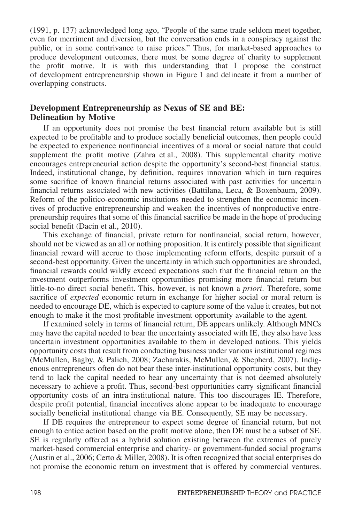(1991, p. 137) acknowledged long ago, "People of the same trade seldom meet together, even for merriment and diversion, but the conversation ends in a conspiracy against the public, or in some contrivance to raise prices." Thus, for market-based approaches to produce development outcomes, there must be some degree of charity to supplement the profit motive. It is with this understanding that I propose the construct of development entrepreneurship shown in Figure 1 and delineate it from a number of overlapping constructs.

## **Development Entrepreneurship as Nexus of SE and BE: Delineation by Motive**

If an opportunity does not promise the best financial return available but is still expected to be profitable and to produce socially beneficial outcomes, then people could be expected to experience nonfinancial incentives of a moral or social nature that could supplement the profit motive (Zahra et al., 2008). This supplemental charity motive encourages entrepreneurial action despite the opportunity's second-best financial status. Indeed, institutional change, by definition, requires innovation which in turn requires some sacrifice of known financial returns associated with past activities for uncertain financial returns associated with new activities (Battilana, Leca, & Boxenbaum, 2009). Reform of the politico-economic institutions needed to strengthen the economic incentives of productive entrepreneurship and weaken the incentives of nonproductive entrepreneurship requires that some of this financial sacrifice be made in the hope of producing social benefit (Dacin et al., 2010).

This exchange of financial, private return for nonfinancial, social return, however, should not be viewed as an all or nothing proposition. It is entirely possible that significant financial reward will accrue to those implementing reform efforts, despite pursuit of a second-best opportunity. Given the uncertainty in which such opportunities are shrouded, financial rewards could wildly exceed expectations such that the financial return on the investment outperforms investment opportunities promising more financial return but little-to-no direct social benefit. This, however, is not known a *priori*. Therefore, some sacrifice of *expected* economic return in exchange for higher social or moral return is needed to encourage DE, which is expected to capture some of the value it creates, but not enough to make it the most profitable investment opportunity available to the agent.

If examined solely in terms of financial return, DE appears unlikely. Although MNCs may have the capital needed to bear the uncertainty associated with IE, they also have less uncertain investment opportunities available to them in developed nations. This yields opportunity costs that result from conducting business under various institutional regimes (McMullen, Bagby, & Palich, 2008; Zacharakis, McMullen, & Shepherd, 2007). Indigenous entrepreneurs often do not bear these inter-institutional opportunity costs, but they tend to lack the capital needed to bear any uncertainty that is not deemed absolutely necessary to achieve a profit. Thus, second-best opportunities carry significant financial opportunity costs of an intra-institutional nature. This too discourages IE. Therefore, despite profit potential, financial incentives alone appear to be inadequate to encourage socially beneficial institutional change via BE. Consequently, SE may be necessary.

If DE requires the entrepreneur to expect some degree of financial return, but not enough to entice action based on the profit motive alone, then DE must be a subset of SE. SE is regularly offered as a hybrid solution existing between the extremes of purely market-based commercial enterprise and charity- or government-funded social programs (Austin et al., 2006; Certo & Miller, 2008). It is often recognized that social enterprises do not promise the economic return on investment that is offered by commercial ventures.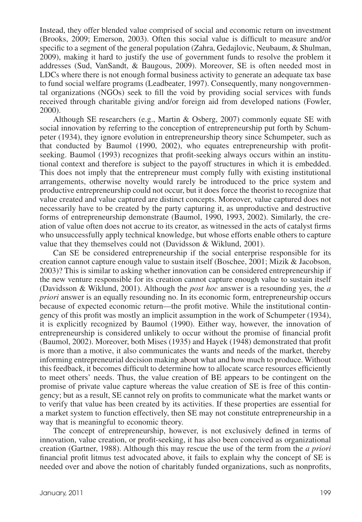Instead, they offer blended value comprised of social and economic return on investment (Brooks, 2009; Emerson, 2003). Often this social value is difficult to measure and/or specific to a segment of the general population (Zahra, Gedajlovic, Neubaum, & Shulman, 2009), making it hard to justify the use of government funds to resolve the problem it addresses (Sud, VanSandt, & Baugous, 2009). Moreover, SE is often needed most in LDCs where there is not enough formal business activity to generate an adequate tax base to fund social welfare programs (Leadbeater, 1997). Consequently, many nongovernmental organizations (NGOs) seek to fill the void by providing social services with funds received through charitable giving and/or foreign aid from developed nations (Fowler, 2000).

Although SE researchers (e.g., Martin & Osberg, 2007) commonly equate SE with social innovation by referring to the conception of entrepreneurship put forth by Schumpeter (1934), they ignore evolution in entrepreneurship theory since Schumpeter, such as that conducted by Baumol (1990, 2002), who equates entrepreneurship with profitseeking. Baumol (1993) recognizes that profit-seeking always occurs within an institutional context and therefore is subject to the payoff structures in which it is embedded. This does not imply that the entrepreneur must comply fully with existing institutional arrangements, otherwise novelty would rarely be introduced to the price system and productive entrepreneurship could not occur, but it does force the theorist to recognize that value created and value captured are distinct concepts. Moreover, value captured does not necessarily have to be created by the party capturing it, as unproductive and destructive forms of entrepreneurship demonstrate (Baumol, 1990, 1993, 2002). Similarly, the creation of value often does not accrue to its creator, as witnessed in the acts of catalyst firms who unsuccessfully apply technical knowledge, but whose efforts enable others to capture value that they themselves could not (Davidsson & Wiklund, 2001).

Can SE be considered entrepreneurship if the social enterprise responsible for its creation cannot capture enough value to sustain itself (Boschee, 2001; Mizik & Jacobson, 2003)? This is similar to asking whether innovation can be considered entrepreneurship if the new venture responsible for its creation cannot capture enough value to sustain itself (Davidsson & Wiklund, 2001). Although the *post hoc* answer is a resounding yes, the *a priori* answer is an equally resounding no. In its economic form, entrepreneurship occurs because of expected economic return—the profit motive. While the institutional contingency of this profit was mostly an implicit assumption in the work of Schumpeter (1934), it is explicitly recognized by Baumol (1990). Either way, however, the innovation of entrepreneurship is considered unlikely to occur without the promise of financial profit (Baumol, 2002). Moreover, both Mises (1935) and Hayek (1948) demonstrated that profit is more than a motive, it also communicates the wants and needs of the market, thereby informing entrepreneurial decision making about what and how much to produce. Without this feedback, it becomes difficult to determine how to allocate scarce resources efficiently to meet others' needs. Thus, the value creation of BE appears to be contingent on the promise of private value capture whereas the value creation of SE is free of this contingency; but as a result, SE cannot rely on profits to communicate what the market wants or to verify that value has been created by its activities. If these properties are essential for a market system to function effectively, then SE may not constitute entrepreneurship in a way that is meaningful to economic theory.

The concept of entrepreneurship, however, is not exclusively defined in terms of innovation, value creation, or profit-seeking, it has also been conceived as organizational creation (Gartner, 1988). Although this may rescue the use of the term from the *a priori* financial profit litmus test advocated above, it fails to explain why the concept of SE is needed over and above the notion of charitably funded organizations, such as nonprofits,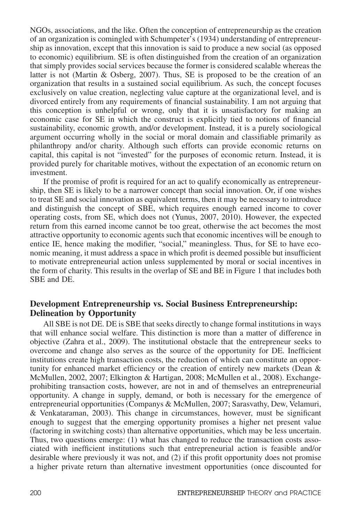NGOs, associations, and the like. Often the conception of entrepreneurship as the creation of an organization is comingled with Schumpeter's (1934) understanding of entrepreneurship as innovation, except that this innovation is said to produce a new social (as opposed to economic) equilibrium. SE is often distinguished from the creation of an organization that simply provides social services because the former is considered scalable whereas the latter is not (Martin & Osberg, 2007). Thus, SE is proposed to be the creation of an organization that results in a sustained social equilibrium. As such, the concept focuses exclusively on value creation, neglecting value capture at the organizational level, and is divorced entirely from any requirements of financial sustainability. I am not arguing that this conception is unhelpful or wrong, only that it is unsatisfactory for making an economic case for SE in which the construct is explicitly tied to notions of financial sustainability, economic growth, and/or development. Instead, it is a purely sociological argument occurring wholly in the social or moral domain and classifiable primarily as philanthropy and/or charity. Although such efforts can provide economic returns on capital, this capital is not "invested" for the purposes of economic return. Instead, it is provided purely for charitable motives, without the expectation of an economic return on investment.

If the promise of profit is required for an act to qualify economically as entrepreneurship, then SE is likely to be a narrower concept than social innovation. Or, if one wishes to treat SE and social innovation as equivalent terms, then it may be necessary to introduce and distinguish the concept of SBE, which requires enough earned income to cover operating costs, from SE, which does not (Yunus, 2007, 2010). However, the expected return from this earned income cannot be too great, otherwise the act becomes the most attractive opportunity to economic agents such that economic incentives will be enough to entice IE, hence making the modifier, "social," meaningless. Thus, for SE to have economic meaning, it must address a space in which profit is deemed possible but insufficient to motivate entrepreneurial action unless supplemented by moral or social incentives in the form of charity. This results in the overlap of SE and BE in Figure 1 that includes both SBE and DE.

## **Development Entrepreneurship vs. Social Business Entrepreneurship: Delineation by Opportunity**

All SBE is not DE. DE is SBE that seeks directly to change formal institutions in ways that will enhance social welfare. This distinction is more than a matter of difference in objective (Zahra et al., 2009). The institutional obstacle that the entrepreneur seeks to overcome and change also serves as the source of the opportunity for DE. Inefficient institutions create high transaction costs, the reduction of which can constitute an opportunity for enhanced market efficiency or the creation of entirely new markets (Dean  $\&$ McMullen, 2002, 2007; Elkington & Hartigan, 2008; McMullen et al., 2008). Exchangeprohibiting transaction costs, however, are not in and of themselves an entrepreneurial opportunity. A change in supply, demand, or both is necessary for the emergence of entrepreneurial opportunities (Companys & McMullen, 2007; Sarasvathy, Dew, Velamuri, & Venkataraman, 2003). This change in circumstances, however, must be significant enough to suggest that the emerging opportunity promises a higher net present value (factoring in switching costs) than alternative opportunities, which may be less uncertain. Thus, two questions emerge: (1) what has changed to reduce the transaction costs associated with inefficient institutions such that entrepreneurial action is feasible and/or desirable where previously it was not, and (2) if this profit opportunity does not promise a higher private return than alternative investment opportunities (once discounted for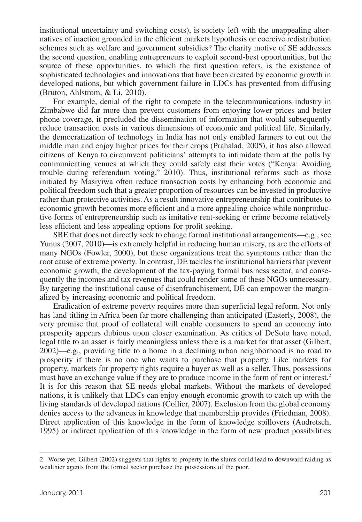institutional uncertainty and switching costs), is society left with the unappealing alternatives of inaction grounded in the efficient markets hypothesis or coercive redistribution schemes such as welfare and government subsidies? The charity motive of SE addresses the second question, enabling entrepreneurs to exploit second-best opportunities, but the source of these opportunities, to which the first question refers, is the existence of sophisticated technologies and innovations that have been created by economic growth in developed nations, but which government failure in LDCs has prevented from diffusing (Bruton, Ahlstrom, & Li, 2010).

For example, denial of the right to compete in the telecommunications industry in Zimbabwe did far more than prevent customers from enjoying lower prices and better phone coverage, it precluded the dissemination of information that would subsequently reduce transaction costs in various dimensions of economic and political life. Similarly, the democratization of technology in India has not only enabled farmers to cut out the middle man and enjoy higher prices for their crops (Prahalad, 2005), it has also allowed citizens of Kenya to circumvent politicians' attempts to intimidate them at the polls by communicating venues at which they could safely cast their votes ("Kenya: Avoiding trouble during referendum voting," 2010). Thus, institutional reforms such as those initiated by Masiyiwa often reduce transaction costs by enhancing both economic and political freedom such that a greater proportion of resources can be invested in productive rather than protective activities. As a result innovative entrepreneurship that contributes to economic growth becomes more efficient and a more appealing choice while nonproductive forms of entrepreneurship such as imitative rent-seeking or crime become relatively less efficient and less appealing options for profit seeking.

SBE that does not directly seek to change formal institutional arrangements—e.g., see Yunus (2007, 2010)—is extremely helpful in reducing human misery, as are the efforts of many NGOs (Fowler, 2000), but these organizations treat the symptoms rather than the root cause of extreme poverty. In contrast, DE tackles the institutional barriers that prevent economic growth, the development of the tax-paying formal business sector, and consequently the incomes and tax revenues that could render some of these NGOs unnecessary. By targeting the institutional cause of disenfranchisement, DE can empower the marginalized by increasing economic and political freedom.

Eradication of extreme poverty requires more than superficial legal reform. Not only has land titling in Africa been far more challenging than anticipated (Easterly, 2008), the very premise that proof of collateral will enable consumers to spend an economy into prosperity appears dubious upon closer examination. As critics of DeSoto have noted, legal title to an asset is fairly meaningless unless there is a market for that asset (Gilbert, 2002)—e.g., providing title to a home in a declining urban neighborhood is no road to prosperity if there is no one who wants to purchase that property. Like markets for property, markets for property rights require a buyer as well as a seller. Thus, possessions must have an exchange value if they are to produce income in the form of rent or interest.<sup>2</sup> It is for this reason that SE needs global markets. Without the markets of developed nations, it is unlikely that LDCs can enjoy enough economic growth to catch up with the living standards of developed nations (Collier, 2007). Exclusion from the global economy denies access to the advances in knowledge that membership provides (Friedman, 2008). Direct application of this knowledge in the form of knowledge spillovers (Audretsch, 1995) or indirect application of this knowledge in the form of new product possibilities

<sup>2.</sup> Worse yet, Gilbert (2002) suggests that rights to property in the slums could lead to downward raiding as wealthier agents from the formal sector purchase the possessions of the poor.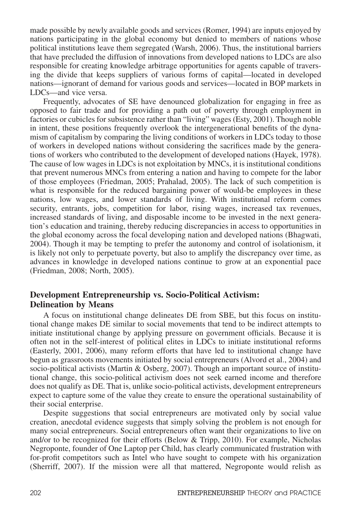made possible by newly available goods and services (Romer, 1994) are inputs enjoyed by nations participating in the global economy but denied to members of nations whose political institutions leave them segregated (Warsh, 2006). Thus, the institutional barriers that have precluded the diffusion of innovations from developed nations to LDCs are also responsible for creating knowledge arbitrage opportunities for agents capable of traversing the divide that keeps suppliers of various forms of capital—located in developed nations—ignorant of demand for various goods and services—located in BOP markets in LDCs—and vice versa.

Frequently, advocates of SE have denounced globalization for engaging in free as opposed to fair trade and for providing a path out of poverty through employment in factories or cubicles for subsistence rather than "living" wages (Esty, 2001). Though noble in intent, these positions frequently overlook the intergenerational benefits of the dynamism of capitalism by comparing the living conditions of workers in LDCs today to those of workers in developed nations without considering the sacrifices made by the generations of workers who contributed to the development of developed nations (Hayek, 1978). The cause of low wages in LDCs is not exploitation by MNCs, it is institutional conditions that prevent numerous MNCs from entering a nation and having to compete for the labor of those employees (Friedman, 2005; Prahalad, 2005). The lack of such competition is what is responsible for the reduced bargaining power of would-be employees in these nations, low wages, and lower standards of living. With institutional reform comes security, entrants, jobs, competition for labor, rising wages, increased tax revenues, increased standards of living, and disposable income to be invested in the next generation's education and training, thereby reducing discrepancies in access to opportunities in the global economy across the focal developing nation and developed nations (Bhagwati, 2004). Though it may be tempting to prefer the autonomy and control of isolationism, it is likely not only to perpetuate poverty, but also to amplify the discrepancy over time, as advances in knowledge in developed nations continue to grow at an exponential pace (Friedman, 2008; North, 2005).

## **Development Entrepreneurship vs. Socio-Political Activism: Delineation by Means**

A focus on institutional change delineates DE from SBE, but this focus on institutional change makes DE similar to social movements that tend to be indirect attempts to initiate institutional change by applying pressure on government officials. Because it is often not in the self-interest of political elites in LDCs to initiate institutional reforms (Easterly, 2001, 2006), many reform efforts that have led to institutional change have begun as grassroots movements initiated by social entrepreneurs (Alvord et al., 2004) and socio-political activists (Martin & Osberg, 2007). Though an important source of institutional change, this socio-political activism does not seek earned income and therefore does not qualify as DE. That is, unlike socio-political activists, development entrepreneurs expect to capture some of the value they create to ensure the operational sustainability of their social enterprise.

Despite suggestions that social entrepreneurs are motivated only by social value creation, anecdotal evidence suggests that simply solving the problem is not enough for many social entrepreneurs. Social entrepreneurs often want their organizations to live on and/or to be recognized for their efforts (Below  $&$  Tripp, 2010). For example, Nicholas Negroponte, founder of One Laptop per Child, has clearly communicated frustration with for-profit competitors such as Intel who have sought to compete with his organization (Sherriff, 2007). If the mission were all that mattered, Negroponte would relish as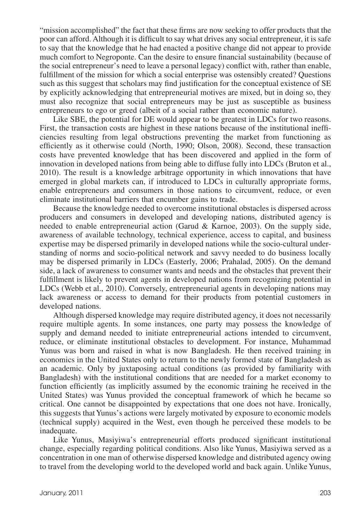"mission accomplished" the fact that these firms are now seeking to offer products that the poor can afford. Although it is difficult to say what drives any social entrepreneur, it is safe to say that the knowledge that he had enacted a positive change did not appear to provide much comfort to Negroponte. Can the desire to ensure financial sustainability (because of the social entrepreneur's need to leave a personal legacy) conflict with, rather than enable, fulfillment of the mission for which a social enterprise was ostensibly created? Questions such as this suggest that scholars may find justification for the conceptual existence of SE by explicitly acknowledging that entrepreneurial motives are mixed, but in doing so, they must also recognize that social entrepreneurs may be just as susceptible as business entrepreneurs to ego or greed (albeit of a social rather than economic nature).

Like SBE, the potential for DE would appear to be greatest in LDCs for two reasons. First, the transaction costs are highest in these nations because of the institutional inefficiencies resulting from legal obstructions preventing the market from functioning as efficiently as it otherwise could (North, 1990; Olson, 2008). Second, these transaction costs have prevented knowledge that has been discovered and applied in the form of innovation in developed nations from being able to diffuse fully into LDCs (Bruton et al., 2010). The result is a knowledge arbitrage opportunity in which innovations that have emerged in global markets can, if introduced to LDCs in culturally appropriate forms, enable entrepreneurs and consumers in those nations to circumvent, reduce, or even eliminate institutional barriers that encumber gains to trade.

Because the knowledge needed to overcome institutional obstacles is dispersed across producers and consumers in developed and developing nations, distributed agency is needed to enable entrepreneurial action (Garud & Karnoe, 2003). On the supply side, awareness of available technology, technical experience, access to capital, and business expertise may be dispersed primarily in developed nations while the socio-cultural understanding of norms and socio-political network and savvy needed to do business locally may be dispersed primarily in LDCs (Easterly, 2006; Prahalad, 2005). On the demand side, a lack of awareness to consumer wants and needs and the obstacles that prevent their fulfillment is likely to prevent agents in developed nations from recognizing potential in LDCs (Webb et al., 2010). Conversely, entrepreneurial agents in developing nations may lack awareness or access to demand for their products from potential customers in developed nations.

Although dispersed knowledge may require distributed agency, it does not necessarily require multiple agents. In some instances, one party may possess the knowledge of supply and demand needed to initiate entrepreneurial actions intended to circumvent, reduce, or eliminate institutional obstacles to development. For instance, Muhammad Yunus was born and raised in what is now Bangladesh. He then received training in economics in the United States only to return to the newly formed state of Bangladesh as an academic. Only by juxtaposing actual conditions (as provided by familiarity with Bangladesh) with the institutional conditions that are needed for a market economy to function efficiently (as implicitly assumed by the economic training he received in the United States) was Yunus provided the conceptual framework of which he became so critical. One cannot be disappointed by expectations that one does not have. Ironically, this suggests that Yunus's actions were largely motivated by exposure to economic models (technical supply) acquired in the West, even though he perceived these models to be inadequate.

Like Yunus, Masiyiwa's entrepreneurial efforts produced significant institutional change, especially regarding political conditions. Also like Yunus, Masiyiwa served as a concentration in one man of otherwise dispersed knowledge and distributed agency owing to travel from the developing world to the developed world and back again. Unlike Yunus,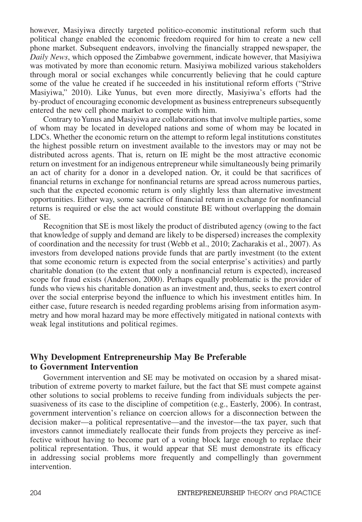however, Masiyiwa directly targeted politico-economic institutional reform such that political change enabled the economic freedom required for him to create a new cell phone market. Subsequent endeavors, involving the financially strapped newspaper, the *Daily News*, which opposed the Zimbabwe government, indicate however, that Masiyiwa was motivated by more than economic return. Masiyiwa mobilized various stakeholders through moral or social exchanges while concurrently believing that he could capture some of the value he created if he succeeded in his institutional reform efforts ("Strive Masiyiwa," 2010). Like Yunus, but even more directly, Masiyiwa's efforts had the by-product of encouraging economic development as business entrepreneurs subsequently entered the new cell phone market to compete with him.

Contrary to Yunus and Masiyiwa are collaborations that involve multiple parties, some of whom may be located in developed nations and some of whom may be located in LDCs. Whether the economic return on the attempt to reform legal institutions constitutes the highest possible return on investment available to the investors may or may not be distributed across agents. That is, return on IE might be the most attractive economic return on investment for an indigenous entrepreneur while simultaneously being primarily an act of charity for a donor in a developed nation. Or, it could be that sacrifices of financial returns in exchange for nonfinancial returns are spread across numerous parties, such that the expected economic return is only slightly less than alternative investment opportunities. Either way, some sacrifice of financial return in exchange for nonfinancial returns is required or else the act would constitute BE without overlapping the domain of SE.

Recognition that SE is most likely the product of distributed agency (owing to the fact that knowledge of supply and demand are likely to be dispersed) increases the complexity of coordination and the necessity for trust (Webb et al., 2010; Zacharakis et al., 2007). As investors from developed nations provide funds that are partly investment (to the extent that some economic return is expected from the social enterprise's activities) and partly charitable donation (to the extent that only a nonfinancial return is expected), increased scope for fraud exists (Anderson, 2000). Perhaps equally problematic is the provider of funds who views his charitable donation as an investment and, thus, seeks to exert control over the social enterprise beyond the influence to which his investment entitles him. In either case, future research is needed regarding problems arising from information asymmetry and how moral hazard may be more effectively mitigated in national contexts with weak legal institutions and political regimes.

## **Why Development Entrepreneurship May Be Preferable to Government Intervention**

Government intervention and SE may be motivated on occasion by a shared misattribution of extreme poverty to market failure, but the fact that SE must compete against other solutions to social problems to receive funding from individuals subjects the persuasiveness of its case to the discipline of competition (e.g., Easterly, 2006). In contrast, government intervention's reliance on coercion allows for a disconnection between the decision maker—a political representative—and the investor—the tax payer, such that investors cannot immediately reallocate their funds from projects they perceive as ineffective without having to become part of a voting block large enough to replace their political representation. Thus, it would appear that SE must demonstrate its efficacy in addressing social problems more frequently and compellingly than government intervention.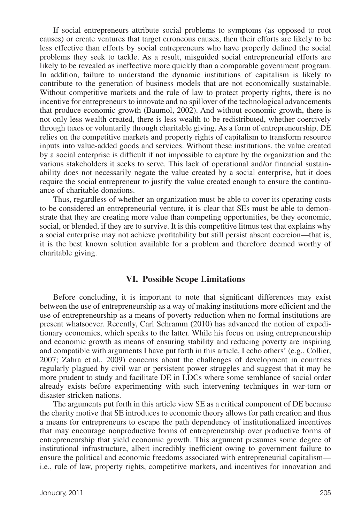If social entrepreneurs attribute social problems to symptoms (as opposed to root causes) or create ventures that target erroneous causes, then their efforts are likely to be less effective than efforts by social entrepreneurs who have properly defined the social problems they seek to tackle. As a result, misguided social entrepreneurial efforts are likely to be revealed as ineffective more quickly than a comparable government program. In addition, failure to understand the dynamic institutions of capitalism is likely to contribute to the generation of business models that are not economically sustainable. Without competitive markets and the rule of law to protect property rights, there is no incentive for entrepreneurs to innovate and no spillover of the technological advancements that produce economic growth (Baumol, 2002). And without economic growth, there is not only less wealth created, there is less wealth to be redistributed, whether coercively through taxes or voluntarily through charitable giving. As a form of entrepreneurship, DE relies on the competitive markets and property rights of capitalism to transform resource inputs into value-added goods and services. Without these institutions, the value created by a social enterprise is difficult if not impossible to capture by the organization and the various stakeholders it seeks to serve. This lack of operational and/or financial sustainability does not necessarily negate the value created by a social enterprise, but it does require the social entrepreneur to justify the value created enough to ensure the continuance of charitable donations.

Thus, regardless of whether an organization must be able to cover its operating costs to be considered an entrepreneurial venture, it is clear that SEs must be able to demonstrate that they are creating more value than competing opportunities, be they economic, social, or blended, if they are to survive. It is this competitive litmus test that explains why a social enterprise may not achieve profitability but still persist absent coercion—that is, it is the best known solution available for a problem and therefore deemed worthy of charitable giving.

#### **VI. Possible Scope Limitations**

Before concluding, it is important to note that significant differences may exist between the use of entrepreneurship as a way of making institutions more efficient and the use of entrepreneurship as a means of poverty reduction when no formal institutions are present whatsoever. Recently, Carl Schramm (2010) has advanced the notion of expeditionary economics, which speaks to the latter. While his focus on using entrepreneurship and economic growth as means of ensuring stability and reducing poverty are inspiring and compatible with arguments I have put forth in this article, I echo others' (e.g., Collier, 2007; Zahra et al., 2009) concerns about the challenges of development in countries regularly plagued by civil war or persistent power struggles and suggest that it may be more prudent to study and facilitate DE in LDCs where some semblance of social order already exists before experimenting with such intervening techniques in war-torn or disaster-stricken nations.

The arguments put forth in this article view SE as a critical component of DE because the charity motive that SE introduces to economic theory allows for path creation and thus a means for entrepreneurs to escape the path dependency of institutionalized incentives that may encourage nonproductive forms of entrepreneurship over productive forms of entrepreneurship that yield economic growth. This argument presumes some degree of institutional infrastructure, albeit incredibly inefficient owing to government failure to ensure the political and economic freedoms associated with entrepreneurial capitalism i.e., rule of law, property rights, competitive markets, and incentives for innovation and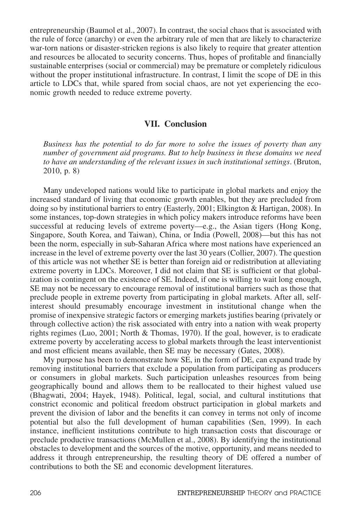entrepreneurship (Baumol et al., 2007). In contrast, the social chaos that is associated with the rule of force (anarchy) or even the arbitrary rule of men that are likely to characterize war-torn nations or disaster-stricken regions is also likely to require that greater attention and resources be allocated to security concerns. Thus, hopes of profitable and financially sustainable enterprises (social or commercial) may be premature or completely ridiculous without the proper institutional infrastructure. In contrast, I limit the scope of DE in this article to LDCs that, while spared from social chaos, are not yet experiencing the economic growth needed to reduce extreme poverty.

#### **VII. Conclusion**

*Business has the potential to do far more to solve the issues of poverty than any number of government aid programs. But to help business in these domains we need to have an understanding of the relevant issues in such institutional settings*. (Bruton, 2010, p. 8)

Many undeveloped nations would like to participate in global markets and enjoy the increased standard of living that economic growth enables, but they are precluded from doing so by institutional barriers to entry (Easterly, 2001; Elkington & Hartigan, 2008). In some instances, top-down strategies in which policy makers introduce reforms have been successful at reducing levels of extreme poverty—e.g., the Asian tigers (Hong Kong, Singapore, South Korea, and Taiwan), China, or India (Powell, 2008)—but this has not been the norm, especially in sub-Saharan Africa where most nations have experienced an increase in the level of extreme poverty over the last 30 years (Collier, 2007). The question of this article was not whether SE is better than foreign aid or redistribution at alleviating extreme poverty in LDCs. Moreover, I did not claim that SE is sufficient or that globalization is contingent on the existence of SE. Indeed, if one is willing to wait long enough, SE may not be necessary to encourage removal of institutional barriers such as those that preclude people in extreme poverty from participating in global markets. After all, selfinterest should presumably encourage investment in institutional change when the promise of inexpensive strategic factors or emerging markets justifies bearing (privately or through collective action) the risk associated with entry into a nation with weak property rights regimes (Luo, 2001; North & Thomas, 1970). If the goal, however, is to eradicate extreme poverty by accelerating access to global markets through the least interventionist and most efficient means available, then SE may be necessary (Gates, 2008).

My purpose has been to demonstrate how SE, in the form of DE, can expand trade by removing institutional barriers that exclude a population from participating as producers or consumers in global markets. Such participation unleashes resources from being geographically bound and allows them to be reallocated to their highest valued use (Bhagwati, 2004; Hayek, 1948). Political, legal, social, and cultural institutions that constrict economic and political freedom obstruct participation in global markets and prevent the division of labor and the benefits it can convey in terms not only of income potential but also the full development of human capabilities (Sen, 1999). In each instance, inefficient institutions contribute to high transaction costs that discourage or preclude productive transactions (McMullen et al., 2008). By identifying the institutional obstacles to development and the sources of the motive, opportunity, and means needed to address it through entrepreneurship, the resulting theory of DE offered a number of contributions to both the SE and economic development literatures.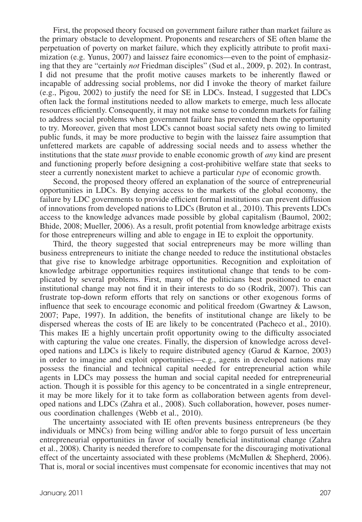First, the proposed theory focused on government failure rather than market failure as the primary obstacle to development. Proponents and researchers of SE often blame the perpetuation of poverty on market failure, which they explicitly attribute to profit maximization (e.g. Yunus, 2007) and laissez faire economics—even to the point of emphasizing that they are "certainly *not* Friedman disciples" (Sud et al., 2009, p. 202). In contrast, I did not presume that the profit motive causes markets to be inherently flawed or incapable of addressing social problems, nor did I invoke the theory of market failure (e.g., Pigou, 2002) to justify the need for SE in LDCs. Instead, I suggested that LDCs often lack the formal institutions needed to allow markets to emerge, much less allocate resources efficiently. Consequently, it may not make sense to condemn markets for failing to address social problems when government failure has prevented them the opportunity to try. Moreover, given that most LDCs cannot boast social safety nets owing to limited public funds, it may be more productive to begin with the laissez faire assumption that unfettered markets are capable of addressing social needs and to assess whether the institutions that the state *must* provide to enable economic growth of *any* kind are present and functioning properly before designing a cost-prohibitive welfare state that seeks to steer a currently nonexistent market to achieve a particular *type* of economic growth.

Second, the proposed theory offered an explanation of the source of entrepreneurial opportunities in LDCs. By denying access to the markets of the global economy, the failure by LDC governments to provide efficient formal institutions can prevent diffusion of innovations from developed nations to LDCs (Bruton et al., 2010). This prevents LDCs access to the knowledge advances made possible by global capitalism (Baumol, 2002; Bhide, 2008; Mueller, 2006). As a result, profit potential from knowledge arbitrage exists for those entrepreneurs willing and able to engage in IE to exploit the opportunity.

Third, the theory suggested that social entrepreneurs may be more willing than business entrepreneurs to initiate the change needed to reduce the institutional obstacles that give rise to knowledge arbitrage opportunities. Recognition and exploitation of knowledge arbitrage opportunities requires institutional change that tends to be complicated by several problems. First, many of the politicians best positioned to enact institutional change may not find it in their interests to do so (Rodrik, 2007). This can frustrate top-down reform efforts that rely on sanctions or other exogenous forms of influence that seek to encourage economic and political freedom (Gwartney & Lawson, 2007; Pape, 1997). In addition, the benefits of institutional change are likely to be dispersed whereas the costs of IE are likely to be concentrated (Pacheco et al., 2010). This makes IE a highly uncertain profit opportunity owing to the difficulty associated with capturing the value one creates. Finally, the dispersion of knowledge across developed nations and LDCs is likely to require distributed agency (Garud  $&$  Karnoe, 2003) in order to imagine and exploit opportunities—e.g., agents in developed nations may possess the financial and technical capital needed for entrepreneurial action while agents in LDCs may possess the human and social capital needed for entrepreneurial action. Though it is possible for this agency to be concentrated in a single entrepreneur, it may be more likely for it to take form as collaboration between agents from developed nations and LDCs (Zahra et al., 2008). Such collaboration, however, poses numerous coordination challenges (Webb et al., 2010).

The uncertainty associated with IE often prevents business entrepreneurs (be they individuals or MNCs) from being willing and/or able to forgo pursuit of less uncertain entrepreneurial opportunities in favor of socially beneficial institutional change (Zahra et al., 2008). Charity is needed therefore to compensate for the discouraging motivational effect of the uncertainty associated with these problems (McMullen & Shepherd, 2006). That is, moral or social incentives must compensate for economic incentives that may not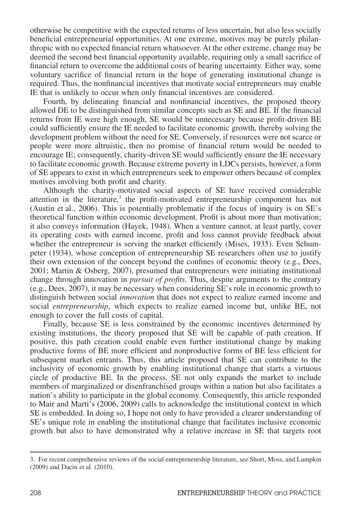otherwise be competitive with the expected returns of less uncertain, but also less socially beneficial entrepreneurial opportunities. At one extreme, motives may be purely philanthropic with no expected financial return whatsoever. At the other extreme, change may be deemed the second best financial opportunity available, requiring only a small sacrifice of financial return to overcome the additional costs of bearing uncertainty. Either way, some voluntary sacrifice of financial return in the hope of generating institutional change is required. Thus, the nonfinancial incentives that motivate social entrepreneurs may enable IE that is unlikely to occur when only financial incentives are considered.

Fourth, by delineating financial and nonfinancial incentives, the proposed theory allowed DE to be distinguished from similar concepts such as SE and BE. If the financial returns from IE were high enough, SE would be unnecessary because profit-driven BE could sufficiently ensure the IE needed to facilitate economic growth, thereby solving the development problem without the need for SE. Conversely, if resources were not scarce or people were more altruistic, then no promise of financial return would be needed to encourage IE; consequently, charity-driven SE would sufficiently ensure the IE necessary to facilitate economic growth. Because extreme poverty in LDCs persists, however, a form of SE appears to exist in which entrepreneurs seek to empower others because of complex motives involving both profit and charity.

Although the charity-motivated social aspects of SE have received considerable attention in the literature,<sup>3</sup> the profit-motivated entrepreneurship component has not (Austin et al., 2006). This is potentially problematic if the focus of inquiry is on SE's theoretical function within economic development. Profit is about more than motivation; it also conveys information (Hayek, 1948). When a venture cannot, at least partly, cover its operating costs with earned income, profit and loss cannot provide feedback about whether the entrepreneur is serving the market efficiently (Mises, 1935). Even Schumpeter (1934), whose conception of entrepreneurship SE researchers often use to justify their own extension of the concept beyond the confines of economic theory (e.g., Dees, 2001; Martin & Osberg, 2007), presumed that entrepreneurs were initiating institutional change through innovation in *pursuit of profits*. Thus, despite arguments to the contrary (e.g., Dees, 2007), it may be necessary when considering SE's role in economic growth to distinguish between social *innovation* that does not expect to realize earned income and social *entrepreneurship*, which expects to realize earned income but, unlike BE, not enough to cover the full costs of capital.

Finally, because SE is less constrained by the economic incentives determined by existing institutions, the theory proposed that SE will be capable of path creation. If positive, this path creation could enable even further institutional change by making productive forms of BE more efficient and nonproductive forms of BE less efficient for subsequent market entrants. Thus, this article proposed that SE can contribute to the inclusivity of economic growth by enabling institutional change that starts a virtuous circle of productive BE. In the process, SE not only expands the market to include members of marginalized or disenfranchised groups within a nation but also facilitates a nation's ability to participate in the global economy. Consequently, this article responded to Mair and Marti's (2006, 2009) calls to acknowledge the institutional context in which SE is embedded. In doing so, I hope not only to have provided a clearer understanding of SE's unique role in enabling the institutional change that facilitates inclusive economic growth but also to have demonstrated why a relative increase in SE that targets root

<sup>3.</sup> For recent comprehensive reviews of the social entrepreneurship literature, see Short, Moss, and Lumpkin (2009) and Dacin et al. (2010).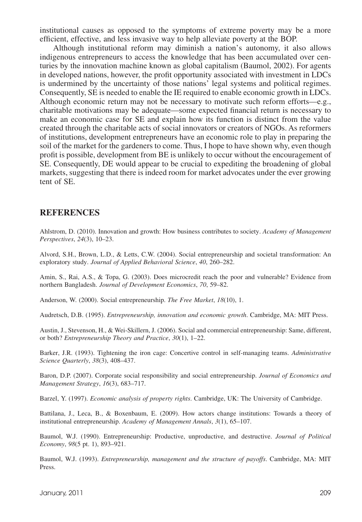institutional causes as opposed to the symptoms of extreme poverty may be a more efficient, effective, and less invasive way to help alleviate poverty at the BOP.

Although institutional reform may diminish a nation's autonomy, it also allows indigenous entrepreneurs to access the knowledge that has been accumulated over centuries by the innovation machine known as global capitalism (Baumol, 2002). For agents in developed nations, however, the profit opportunity associated with investment in LDCs is undermined by the uncertainty of those nations' legal systems and political regimes. Consequently, SE is needed to enable the IE required to enable economic growth in LDCs. Although economic return may not be necessary to motivate such reform efforts—e.g., charitable motivations may be adequate—some expected financial return is necessary to make an economic case for SE and explain how its function is distinct from the value created through the charitable acts of social innovators or creators of NGOs. As reformers of institutions, development entrepreneurs have an economic role to play in preparing the soil of the market for the gardeners to come. Thus, I hope to have shown why, even though profit is possible, development from BE is unlikely to occur without the encouragement of SE. Consequently, DE would appear to be crucial to expediting the broadening of global markets, suggesting that there is indeed room for market advocates under the ever growing tent of SE.

## **REFERENCES**

Ahlstrom, D. (2010). Innovation and growth: How business contributes to society. *Academy of Management Perspectives*, *24*(3), 10–23.

Alvord, S.H., Brown, L.D., & Letts, C.W. (2004). Social entrepreneurship and societal transformation: An exploratory study. *Journal of Applied Behavioral Science*, *40*, 260–282.

Amin, S., Rai, A.S., & Topa, G. (2003). Does microcredit reach the poor and vulnerable? Evidence from northern Bangladesh. *Journal of Development Economics*, *70*, 59–82.

Anderson, W. (2000). Social entrepreneurship. *The Free Market*, *18*(10), 1.

Audretsch, D.B. (1995). *Entrepreneurship, innovation and economic growth*. Cambridge, MA: MIT Press.

Austin, J., Stevenson, H., & Wei-Skillern, J. (2006). Social and commercial entrepreneurship: Same, different, or both? *Entrepreneurship Theory and Practice*, *30*(1), 1–22.

Barker, J.R. (1993). Tightening the iron cage: Concertive control in self-managing teams. *Administrative Science Quarterly*, *38*(3), 408–437.

Baron, D.P. (2007). Corporate social responsibility and social entrepreneurship. *Journal of Economics and Management Strategy*, *16*(3), 683–717.

Barzel, Y. (1997). *Economic analysis of property rights*. Cambridge, UK: The University of Cambridge.

Battilana, J., Leca, B., & Boxenbaum, E. (2009). How actors change institutions: Towards a theory of institutional entrepreneurship. *Academy of Management Annals*, *3*(1), 65–107.

Baumol, W.J. (1990). Entrepreneurship: Productive, unproductive, and destructive. *Journal of Political Economy*, *98*(5 pt. 1), 893–921.

Baumol, W.J. (1993). *Entrepreneurship, management and the structure of payoffs*. Cambridge, MA: MIT Press.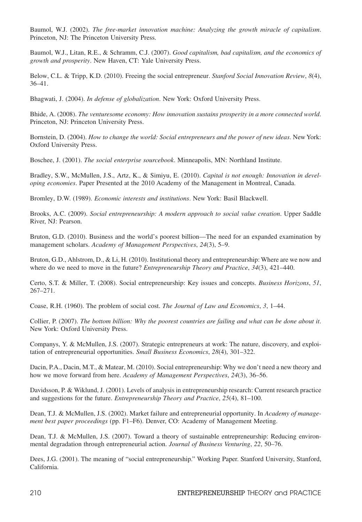Baumol, W.J. (2002). *The free-market innovation machine: Analyzing the growth miracle of capitalism*. Princeton, NJ: The Princeton University Press.

Baumol, W.J., Litan, R.E., & Schramm, C.J. (2007). *Good capitalism, bad capitalism, and the economics of growth and prosperity*. New Haven, CT: Yale University Press.

Below, C.L. & Tripp, K.D. (2010). Freeing the social entrepreneur. *Stanford Social Innovation Review*, *8*(4), 36–41.

Bhagwati, J. (2004). *In defense of globalization*. New York: Oxford University Press.

Bhide, A. (2008). *The venturesome economy: How innovation sustains prosperity in a more connected world*. Princeton, NJ: Princeton University Press.

Bornstein, D. (2004). *How to change the world: Social entrepreneurs and the power of new ideas*. New York: Oxford University Press.

Boschee, J. (2001). *The social enterprise sourcebook*. Minneapolis, MN: Northland Institute.

Bradley, S.W., McMullen, J.S., Artz, K., & Simiyu, E. (2010). *Capital is not enough: Innovation in developing economies*. Paper Presented at the 2010 Academy of the Management in Montreal, Canada.

Bromley, D.W. (1989). *Economic interests and institutions*. New York: Basil Blackwell.

Brooks, A.C. (2009). *Social entrepreneurship: A modern approach to social value creation*. Upper Saddle River, NJ: Pearson.

Bruton, G.D. (2010). Business and the world's poorest billion—The need for an expanded examination by management scholars. *Academy of Management Perspectives*, *24*(3), 5–9.

Bruton, G.D., Ahlstrom, D., & Li, H. (2010). Institutional theory and entrepreneurship: Where are we now and where do we need to move in the future? *Entrepreneurship Theory and Practice*, *34*(3), 421–440.

Certo, S.T. & Miller, T. (2008). Social entrepreneurship: Key issues and concepts. *Business Horizons*, *51*, 267–271.

Coase, R.H. (1960). The problem of social cost. *The Journal of Law and Economics*, *3*, 1–44.

Collier, P. (2007). *The bottom billion: Why the poorest countries are failing and what can be done about it*. New York: Oxford University Press.

Companys, Y. & McMullen, J.S. (2007). Strategic entrepreneurs at work: The nature, discovery, and exploitation of entrepreneurial opportunities. *Small Business Economics*, *28*(4), 301–322.

Dacin, P.A., Dacin, M.T., & Matear, M. (2010). Social entrepreneurship: Why we don't need a new theory and how we move forward from here. *Academy of Management Perspectives*, *24*(3), 36–56.

Davidsson, P. & Wiklund, J. (2001). Levels of analysis in entrepreneurship research: Current research practice and suggestions for the future. *Entrepreneurship Theory and Practice*, *25*(4), 81–100.

Dean, T.J. & McMullen, J.S. (2002). Market failure and entrepreneurial opportunity. In *Academy of management best paper proceedings* (pp. F1–F6). Denver, CO: Academy of Management Meeting.

Dean, T.J. & McMullen, J.S. (2007). Toward a theory of sustainable entrepreneurship: Reducing environmental degradation through entrepreneurial action. *Journal of Business Venturing*, *22*, 50–76.

Dees, J.G. (2001). The meaning of "social entrepreneurship." Working Paper. Stanford University, Stanford, California.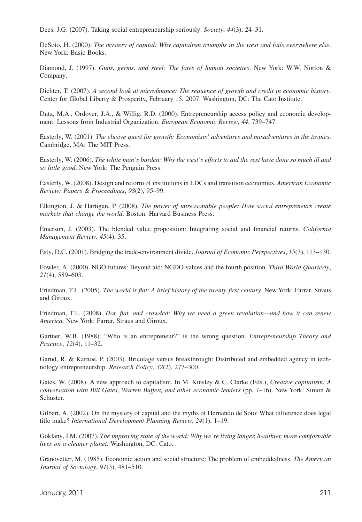Dees, J.G. (2007). Taking social entrepreneurship seriously. *Society*, *44*(3), 24–31.

DeSoto, H. (2000). *The mystery of capital: Why capitalism triumphs in the west and fails everywhere else*. New York: Basic Books.

Diamond, J. (1997). *Guns, germs, and steel: The fates of human societies*. New York: W.W. Norton & Company.

Dichter, T. (2007). *A second look at microfinance: The sequence of growth and credit in economic history*. Center for Global Liberty & Prosperity, February 15, 2007. Washington, DC: The Cato Institute.

Dutz, M.A., Ordover, J.A., & Willig, R.D. (2000). Entrepreneurship access policy and economic development: Lessons from Industrial Organization. *European Economic Review*, *44*, 739–747.

Easterly, W. (2001). *The elusive quest for growth: Economists' adventures and misadventures in the tropics*. Cambridge, MA: The MIT Press.

Easterly, W. (2006). *The white man's burden: Why the west's efforts to aid the rest have done so much ill and so little good*. New York: The Penguin Press.

Easterly, W. (2008). Design and reform of institutions in LDCs and transition economies. *American Economic Review: Papers & Proceedings*, *98*(2), 95–99.

Elkington, J. & Hartigan, P. (2008). *The power of unreasonable people: How social entrepreneurs create markets that change the world*. Boston: Harvard Business Press.

Emerson, J. (2003). The blended value proposition: Integrating social and financial returns. *California Management Review*, *45*(4), 35.

Esty, D.C. (2001). Bridging the trade-environment divide. *Journal of Economic Perspectives*, *15*(3), 113–130.

Fowler, A. (2000). NGO futures: Beyond aid: NGDO values and the fourth position. *Third World Quarterly*, *21*(4), 589–603.

Friedman, T.L. (2005). *The world is flat: A brief history of the twenty-first century*. New York: Farrar, Straus and Giroux.

Friedman, T.L. (2008). *Hot, flat, and crowded: Why we need a green revolution—and how it can renew America*. New York: Farrar, Straus and Giroux.

Gartner, W.B. (1988). "Who is an entrepreneur?" is the wrong question. *Entrepreneurship Theory and Practice*, *12*(4), 11–32.

Garud, R. & Karnoe, P. (2003). Bricolage versus breakthrough: Distributed and embedded agency in technology entrepreneurship. *Research Policy*, *32*(2), 277–300.

Gates, W. (2008). A new approach to capitalism. In M. Kinsley & C. Clarke (Eds.), *Creative capitalism: A conversation with Bill Gates, Warren Buffett, and other economic leaders* (pp. 7–16). New York: Simon & Schuster.

Gilbert, A. (2002). On the mystery of capital and the myths of Hernando de Soto: What difference does legal title make? *International Development Planning Review*, *24*(1), 1–19.

Goklany, I.M. (2007). *The improving state of the world: Why we're living longer, healthier, more comfortable lives on a cleaner planet*. Washington, DC: Cato.

Granovetter, M. (1985). Economic action and social structure: The problem of embeddedness. *The American Journal of Sociology*, *91*(3), 481–510.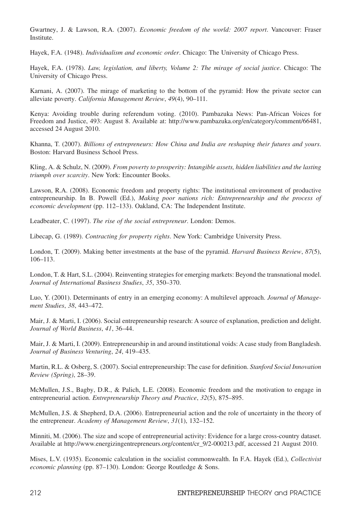Gwartney, J. & Lawson, R.A. (2007). *Economic freedom of the world: 2007 report*. Vancouver: Fraser Institute.

Hayek, F.A. (1948). *Individualism and economic order*. Chicago: The University of Chicago Press.

Hayek, F.A. (1978). *Law, legislation, and liberty, Volume 2: The mirage of social justice*. Chicago: The University of Chicago Press.

Karnani, A. (2007). The mirage of marketing to the bottom of the pyramid: How the private sector can alleviate poverty. *California Management Review*, *49*(4), 90–111.

Kenya: Avoiding trouble during referendum voting. (2010). Pambazuka News: Pan-African Voices for Freedom and Justice, 493: August 8. Available at: http://www.pambazuka.org/en/category/comment/66481, accessed 24 August 2010.

Khanna, T. (2007). *Billions of entrepreneurs: How China and India are reshaping their futures and yours*. Boston: Harvard Business School Press.

Kling, A. & Schulz, N. (2009). *From poverty to prosperity: Intangible assets, hidden liabilities and the lasting triumph over scarcity*. New York: Encounter Books.

Lawson, R.A. (2008). Economic freedom and property rights: The institutional environment of productive entrepreneurship. In B. Powell (Ed.), *Making poor nations rich: Entrepreneurship and the process of economic development* (pp. 112–133). Oakland, CA: The Independent Institute.

Leadbeater, C. (1997). *The rise of the social entrepreneur*. London: Demos.

Libecap, G. (1989). *Contracting for property rights*. New York: Cambridge University Press.

London, T. (2009). Making better investments at the base of the pyramid. *Harvard Business Review*, *87*(5), 106–113.

London, T. & Hart, S.L. (2004). Reinventing strategies for emerging markets: Beyond the transnational model. *Journal of International Business Studies*, *35*, 350–370.

Luo, Y. (2001). Determinants of entry in an emerging economy: A multilevel approach. *Journal of Management Studies*, *38*, 443–472.

Mair, J. & Marti, I. (2006). Social entrepreneurship research: A source of explanation, prediction and delight. *Journal of World Business*, *41*, 36–44.

Mair, J. & Marti, I. (2009). Entrepreneurship in and around institutional voids: A case study from Bangladesh. *Journal of Business Venturing*, *24*, 419–435.

Martin, R.L. & Osberg, S. (2007). Social entrepreneurship: The case for definition. *Stanford Social Innovation Review (Spring)*, 28–39.

McMullen, J.S., Bagby, D.R., & Palich, L.E. (2008). Economic freedom and the motivation to engage in entrepreneurial action. *Entrepreneurship Theory and Practice*, *32*(5), 875–895.

McMullen, J.S. & Shepherd, D.A. (2006). Entrepreneurial action and the role of uncertainty in the theory of the entrepreneur. *Academy of Management Review*, *31*(1), 132–152.

Minniti, M. (2006). The size and scope of entrepreneurial activity: Evidence for a large cross-country dataset. Available at http://www.energizingentrepreneurs.org/content/cr\_9/2-000213.pdf, accessed 21 August 2010.

Mises, L.V. (1935). Economic calculation in the socialist commonwealth. In F.A. Hayek (Ed.), *Collectivist economic planning* (pp. 87–130). London: George Routledge & Sons.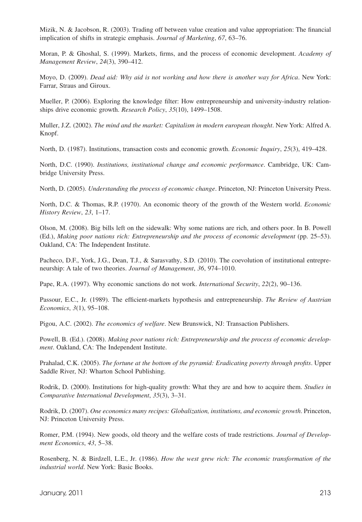Mizik, N. & Jacobson, R. (2003). Trading off between value creation and value appropriation: The financial implication of shifts in strategic emphasis. *Journal of Marketing*, *67*, 63–76.

Moran, P. & Ghoshal, S. (1999). Markets, firms, and the process of economic development. *Academy of Management Review*, *24*(3), 390–412.

Moyo, D. (2009). *Dead aid: Why aid is not working and how there is another way for Africa*. New York: Farrar, Straus and Giroux.

Mueller, P. (2006). Exploring the knowledge filter: How entrepreneurship and university-industry relationships drive economic growth. *Research Policy*, *35*(10), 1499–1508.

Muller, J.Z. (2002). *The mind and the market: Capitalism in modern european thought*. New York: Alfred A. Knopf.

North, D. (1987). Institutions, transaction costs and economic growth. *Economic Inquiry*, *25*(3), 419–428.

North, D.C. (1990). *Institutions, institutional change and economic performance*. Cambridge, UK: Cambridge University Press.

North, D. (2005). *Understanding the process of economic change*. Princeton, NJ: Princeton University Press.

North, D.C. & Thomas, R.P. (1970). An economic theory of the growth of the Western world. *Economic History Review*, *23*, 1–17.

Olson, M. (2008). Big bills left on the sidewalk: Why some nations are rich, and others poor. In B. Powell (Ed.), *Making poor nations rich: Entrepreneurship and the process of economic development* (pp. 25–53). Oakland, CA: The Independent Institute.

Pacheco, D.F., York, J.G., Dean, T.J., & Sarasvathy, S.D. (2010). The coevolution of institutional entrepreneurship: A tale of two theories. *Journal of Management*, *36*, 974–1010.

Pape, R.A. (1997). Why economic sanctions do not work. *International Security*, *22*(2), 90–136.

Passour, E.C., Jr. (1989). The efficient-markets hypothesis and entrepreneurship. *The Review of Austrian Economics*, *3*(1), 95–108.

Pigou, A.C. (2002). *The economics of welfare*. New Brunswick, NJ: Transaction Publishers.

Powell, B. (Ed.). (2008). *Making poor nations rich: Entrepreneurship and the process of economic development*. Oakland, CA: The Independent Institute.

Prahalad, C.K. (2005). *The fortune at the bottom of the pyramid: Eradicating poverty through profits*. Upper Saddle River, NJ: Wharton School Publishing.

Rodrik, D. (2000). Institutions for high-quality growth: What they are and how to acquire them. *Studies in Comparative International Development*, *35*(3), 3–31.

Rodrik, D. (2007). *One economics many recipes: Globalization, institutions, and economic growth*. Princeton, NJ: Princeton University Press.

Romer, P.M. (1994). New goods, old theory and the welfare costs of trade restrictions. *Journal of Development Economics*, *43*, 5–38.

Rosenberg, N. & Birdzell, L.E., Jr. (1986). *How the west grew rich: The economic transformation of the industrial world*. New York: Basic Books.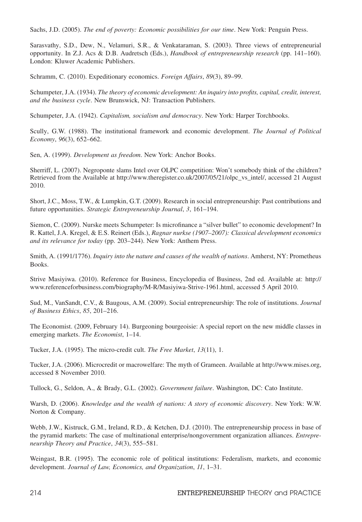Sachs, J.D. (2005). *The end of poverty: Economic possibilities for our time*. New York: Penguin Press.

Sarasvathy, S.D., Dew, N., Velamuri, S.R., & Venkataraman, S. (2003). Three views of entrepreneurial opportunity. In Z.J. Acs & D.B. Audretsch (Eds.), *Handbook of entrepreneurship research* (pp. 141–160). London: Kluwer Academic Publishers.

Schramm, C. (2010). Expeditionary economics. *Foreign Affairs*, *89*(3), 89–99.

Schumpeter, J.A. (1934). *The theory of economic development: An inquiry into profits, capital, credit, interest, and the business cycle*. New Brunswick, NJ: Transaction Publishers.

Schumpeter, J.A. (1942). *Capitalism, socialism and democracy*. New York: Harper Torchbooks.

Scully, G.W. (1988). The institutional framework and economic development. *The Journal of Political Economy*, *96*(3), 652–662.

Sen, A. (1999). *Development as freedom*. New York: Anchor Books.

Sherriff, L. (2007). Negroponte slams Intel over OLPC competition: Won't somebody think of the children? Retrieved from the Available at http://www.theregister.co.uk/2007/05/21/olpc\_vs\_intel/, accessed 21 August 2010.

Short, J.C., Moss, T.W., & Lumpkin, G.T. (2009). Research in social entrepreneurship: Past contributions and future opportunities. *Strategic Entrepreneurship Journal*, *3*, 161–194.

Siemon, C. (2009). Nurske meets Schumpeter: Is microfinance a "silver bullet" to economic development? In R. Kattel, J.A. Kregel, & E.S. Reinert (Eds.), *Ragnar nurkse (1907–2007): Classical development economics and its relevance for today* (pp. 203–244). New York: Anthem Press.

Smith, A. (1991/1776). *Inquiry into the nature and causes of the wealth of nations*. Amherst, NY: Prometheus Books.

Strive Masiyiwa. (2010). Reference for Business, Encyclopedia of Business, 2nd ed. Available at: http:// www.referenceforbusiness.com/biography/M-R/Masiyiwa-Strive-1961.html, accessed 5 April 2010.

Sud, M., VanSandt, C.V., & Baugous, A.M. (2009). Social entrepreneurship: The role of institutions. *Journal of Business Ethics*, *85*, 201–216.

The Economist. (2009, February 14). Burgeoning bourgeoisie: A special report on the new middle classes in emerging markets. *The Economist*, 1–14.

Tucker, J.A. (1995). The micro-credit cult. *The Free Market*, *13*(11), 1.

Tucker, J.A. (2006). Microcredit or macrowelfare: The myth of Grameen. Available at http://www.mises.org, accessed 8 November 2010.

Tullock, G., Seldon, A., & Brady, G.L. (2002). *Government failure*. Washington, DC: Cato Institute.

Warsh, D. (2006). *Knowledge and the wealth of nations: A story of economic discovery*. New York: W.W. Norton & Company.

Webb, J.W., Kistruck, G.M., Ireland, R.D., & Ketchen, D.J. (2010). The entrepreneurship process in base of the pyramid markets: The case of multinational enterprise/nongovernment organization alliances. *Entrepreneurship Theory and Practice*, *34*(3), 555–581.

Weingast, B.R. (1995). The economic role of political institutions: Federalism, markets, and economic development. *Journal of Law, Economics, and Organization*, *11*, 1–31.